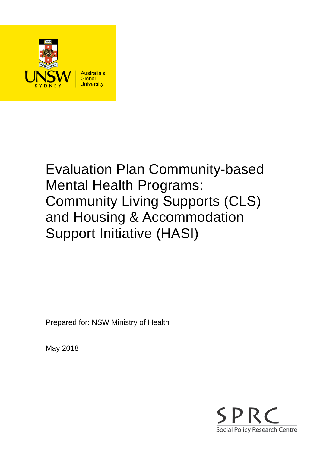

# Evaluation Plan Community-based Mental Health Programs: Community Living Supports (CLS) and Housing & Accommodation Support Initiative (HASI)

Prepared for: NSW Ministry of Health

May 2018

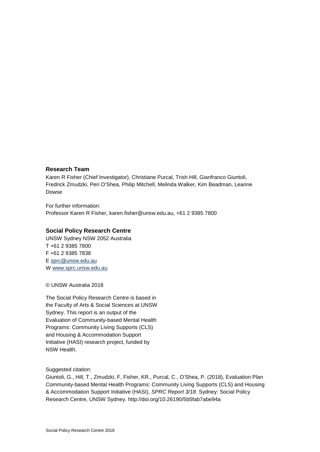#### **Research Team**

Karen R Fisher (Chief Investigator), Christiane Purcal, Trish Hill, Gianfranco Giuntoli, Fredrick Zmudzki, Peri O'Shea, Philip Mitchell, Melinda Walker, Kim Beadman, Leanne Dowse

For further information: Professor Karen R Fisher, karen.fisher@unsw.edu.au, +61 2 9385 7800

#### **Social Policy Research Centre**

UNSW Sydney NSW 2052 Australia T +61 2 9385 7800 F +61 2 9385 7838 E [sprc@unsw.edu.au](mailto:sprc@unsw.edu.au) W [www.sprc.unsw.edu.au](http://www.sprc.unsw.edu.au/)

© UNSW Australia 2018

The Social Policy Research Centre is based in the Faculty of Arts & Social Sciences at UNSW Sydney. This report is an output of the Evaluation of Community-based Mental Health Programs: Community Living Supports (CLS) and Housing & Accommodation Support Initiative (HASI) research project, funded by NSW Health.

Suggested citation:

Giuntoli, G., Hill, T., Zmudzki, F, Fisher, KR., Purcal, C., O'Shea, P. (2018), Evaluation Plan Community-based Mental Health Programs: Community Living Supports (CLS) and Housing & Accommodation Support Initiative (HASI), *SPRC Report 3/18*. Sydney: Social Policy Research Centre, UNSW Sydney. http://doi.org/10.26190/5b5fab7abe94a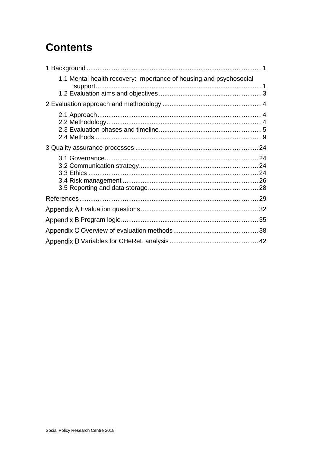## **Contents**

| 1.1 Mental health recovery: Importance of housing and psychosocial<br>support |  |
|-------------------------------------------------------------------------------|--|
|                                                                               |  |
|                                                                               |  |
|                                                                               |  |
|                                                                               |  |
|                                                                               |  |
|                                                                               |  |
|                                                                               |  |
|                                                                               |  |
|                                                                               |  |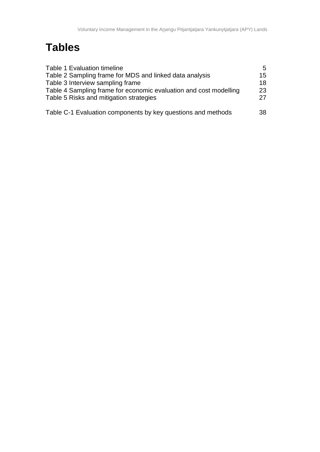## **Tables**

| <b>Table 1 Evaluation timeline</b>                                                                           | 5.       |
|--------------------------------------------------------------------------------------------------------------|----------|
| Table 2 Sampling frame for MDS and linked data analysis                                                      | 15       |
| Table 3 Interview sampling frame                                                                             | 18       |
| Table 4 Sampling frame for economic evaluation and cost modelling<br>Table 5 Risks and mitigation strategies | 23<br>27 |
| Table C-1 Evaluation components by key questions and methods                                                 | 38       |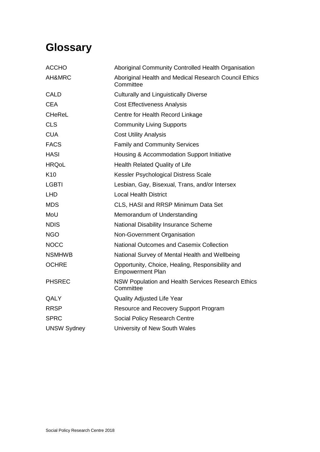## **Glossary**

| <b>ACCHO</b>       | Aboriginal Community Controlled Health Organisation                         |
|--------------------|-----------------------------------------------------------------------------|
| AH&MRC             | Aboriginal Health and Medical Research Council Ethics<br>Committee          |
| <b>CALD</b>        | <b>Culturally and Linguistically Diverse</b>                                |
| <b>CEA</b>         | <b>Cost Effectiveness Analysis</b>                                          |
| <b>CHeReL</b>      | Centre for Health Record Linkage                                            |
| <b>CLS</b>         | <b>Community Living Supports</b>                                            |
| <b>CUA</b>         | <b>Cost Utility Analysis</b>                                                |
| <b>FACS</b>        | <b>Family and Community Services</b>                                        |
| <b>HASI</b>        | Housing & Accommodation Support Initiative                                  |
| <b>HRQoL</b>       | <b>Health Related Quality of Life</b>                                       |
| K <sub>10</sub>    | Kessler Psychological Distress Scale                                        |
| <b>LGBTI</b>       | Lesbian, Gay, Bisexual, Trans, and/or Intersex                              |
| <b>LHD</b>         | <b>Local Health District</b>                                                |
| <b>MDS</b>         | CLS, HASI and RRSP Minimum Data Set                                         |
| MoU                | Memorandum of Understanding                                                 |
| <b>NDIS</b>        | National Disability Insurance Scheme                                        |
| <b>NGO</b>         | Non-Government Organisation                                                 |
| <b>NOCC</b>        | <b>National Outcomes and Casemix Collection</b>                             |
| <b>NSMHWB</b>      | National Survey of Mental Health and Wellbeing                              |
| <b>OCHRE</b>       | Opportunity, Choice, Healing, Responsibility and<br><b>Empowerment Plan</b> |
| <b>PHSREC</b>      | NSW Population and Health Services Research Ethics<br>Committee             |
| QALY               | <b>Quality Adjusted Life Year</b>                                           |
| <b>RRSP</b>        | Resource and Recovery Support Program                                       |
| <b>SPRC</b>        | Social Policy Research Centre                                               |
| <b>UNSW Sydney</b> | University of New South Wales                                               |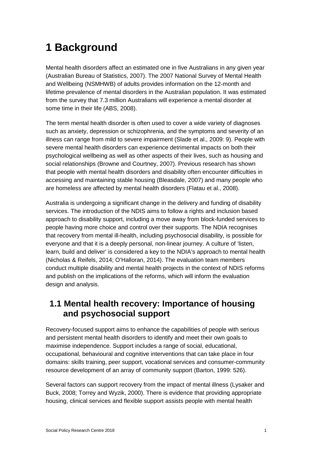## <span id="page-5-0"></span>**1 Background**

Mental health disorders affect an estimated one in five Australians in any given year (Australian Bureau of Statistics, 2007). The 2007 National Survey of Mental Health and Wellbeing (NSMHWB) of adults provides information on the 12-month and lifetime prevalence of mental disorders in the Australian population. It was estimated from the survey that 7.3 million Australians will experience a mental disorder at some time in their life (ABS, 2008).

The term mental health disorder is often used to cover a wide variety of diagnoses such as anxiety, depression or schizophrenia, and the symptoms and severity of an illness can range from mild to severe impairment (Slade et al., 2009: 9). People with severe mental health disorders can experience detrimental impacts on both their psychological wellbeing as well as other aspects of their lives, such as housing and social relationships (Browne and Courtney, 2007). Previous research has shown that people with mental health disorders and disability often encounter difficulties in accessing and maintaining stable housing (Bleasdale, 2007) and many people who are homeless are affected by mental health disorders (Flatau et al., 2008).

Australia is undergoing a significant change in the delivery and funding of disability services. The introduction of the NDIS aims to follow a rights and inclusion based approach to disability support, including a move away from block-funded services to people having more choice and control over their supports. The NDIA recognises that recovery from mental ill-health, including psychosocial disability, is possible for everyone and that it is a deeply personal, non-linear journey. A culture of 'listen, learn, build and deliver' is considered a key to the NDIA's approach to mental health (Nicholas & Reifels, 2014; O'Halloran, 2014). The evaluation team members conduct multiple disability and mental health projects in the context of NDIS reforms and publish on the implications of the reforms, which will inform the evaluation design and analysis.

### <span id="page-5-1"></span>**1.1 Mental health recovery: Importance of housing and psychosocial support**

Recovery-focused support aims to enhance the capabilities of people with serious and persistent mental health disorders to identify and meet their own goals to maximise independence. Support includes a range of social, educational, occupational, behavioural and cognitive interventions that can take place in four domains: skills training, peer support, vocational services and consumer-community resource development of an array of community support (Barton, 1999: 526).

Several factors can support recovery from the impact of mental illness (Lysaker and Buck, 2008; Torrey and Wyzik, 2000). There is evidence that providing appropriate housing, clinical services and flexible support assists people with mental health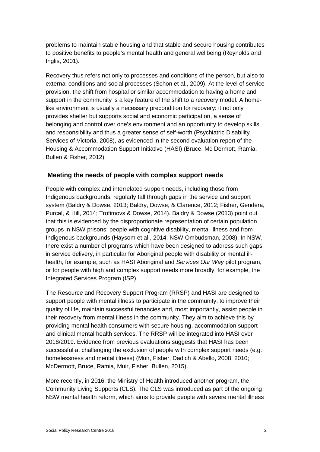problems to maintain stable housing and that stable and secure housing contributes to positive benefits to people's mental health and general wellbeing (Reynolds and Inglis, 2001).

Recovery thus refers not only to processes and conditions of the person, but also to external conditions and social processes (Schon et al., 2009). At the level of service provision, the shift from hospital or similar accommodation to having a home and support in the community is a key feature of the shift to a recovery model. A homelike environment is usually a necessary precondition for recovery: it not only provides shelter but supports social and economic participation, a sense of belonging and control over one's environment and an opportunity to develop skills and responsibility and thus a greater sense of self-worth (Psychiatric Disability Services of Victoria, 2008), as evidenced in the second evaluation report of the Housing & Accommodation Support Initiative (HASI) (Bruce, Mc Dermott, Ramia, Bullen & Fisher, 2012).

#### **Meeting the needs of people with complex support needs**

People with complex and interrelated support needs, including those from Indigenous backgrounds, regularly fall through gaps in the service and support system (Baldry & Dowse, 2013; Baldry, Dowse, & Clarence, 2012; Fisher, Gendera, Purcal, & Hill, 2014; Trofimovs & Dowse, 2014). Baldry & Dowse (2013) point out that this is evidenced by the disproportionate representation of certain population groups in NSW prisons: people with cognitive disability, mental illness and from Indigenous backgrounds (Haysom et al., 2014; NSW Ombudsman, 2008). In NSW, there exist a number of programs which have been designed to address such gaps in service delivery, in particular for Aboriginal people with disability or mental illhealth, for example, such as HASI Aboriginal and *Services Our Way* pilot program, or for people with high and complex support needs more broadly, for example, the Integrated Services Program (ISP).

The Resource and Recovery Support Program (RRSP) and HASI are designed to support people with mental illness to participate in the community, to improve their quality of life, maintain successful tenancies and, most importantly, assist people in their recovery from mental illness in the community. They aim to achieve this by providing mental health consumers with secure housing, accommodation support and clinical mental health services. The RRSP will be integrated into HASI over 2018/2019. Evidence from previous evaluations suggests that HASI has been successful at challenging the exclusion of people with complex support needs (e.g. homelessness and mental illness) (Muir, Fisher, Dadich & Abello, 2008, 2010; McDermott, Bruce, Ramia, Muir, Fisher, Bullen, 2015).

More recently, in 2016, the Ministry of Health introduced another program, the Community Living Supports (CLS). The CLS was introduced as part of the ongoing NSW mental health reform, which aims to provide people with severe mental illness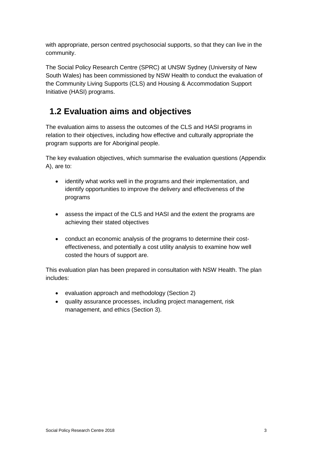with appropriate, person centred psychosocial supports, so that they can live in the community.

The Social Policy Research Centre (SPRC) at UNSW Sydney (University of New South Wales) has been commissioned by NSW Health to conduct the evaluation of the Community Living Supports (CLS) and Housing & Accommodation Support Initiative (HASI) programs.

### <span id="page-7-0"></span>**1.2 Evaluation aims and objectives**

The evaluation aims to assess the outcomes of the CLS and HASI programs in relation to their objectives, including how effective and culturally appropriate the program supports are for Aboriginal people.

The key evaluation objectives, which summarise the evaluation questions [\(Appendix](#page-36-0)  [A\)](#page-36-0), are to:

- identify what works well in the programs and their implementation, and identify opportunities to improve the delivery and effectiveness of the programs
- assess the impact of the CLS and HASI and the extent the programs are achieving their stated objectives
- conduct an economic analysis of the programs to determine their costeffectiveness, and potentially a cost utility analysis to examine how well costed the hours of support are.

This evaluation plan has been prepared in consultation with NSW Health. The plan includes:

- evaluation approach and methodology (Section 2)
- quality assurance processes, including project management, risk management, and ethics (Section 3).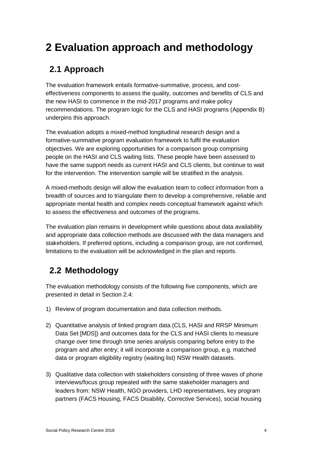## <span id="page-8-0"></span>**2 Evaluation approach and methodology**

### <span id="page-8-1"></span>**2.1 Approach**

The evaluation framework entails formative-summative, process, and costeffectiveness components to assess the quality, outcomes and benefits of CLS and the new HASI to commence in the mid-2017 programs and make policy recommendations. The program logic for the CLS and HASI programs [\(Appendix B\)](#page-39-0) underpins this approach.

The evaluation adopts a mixed-method longitudinal research design and a formative-summative program evaluation framework to fulfil the evaluation objectives. We are exploring opportunities for a comparison group comprising people on the HASI and CLS waiting lists. These people have been assessed to have the same support needs as current HASI and CLS clients, but continue to wait for the intervention. The intervention sample will be stratified in the analysis.

A mixed-methods design will allow the evaluation team to collect information from a breadth of sources and to triangulate them to develop a comprehensive, reliable and appropriate mental health and complex needs conceptual framework against which to assess the effectiveness and outcomes of the programs.

The evaluation plan remains in development while questions about data availability and appropriate data collection methods are discussed with the data managers and stakeholders. If preferred options, including a comparison group, are not confirmed, limitations to the evaluation will be acknowledged in the plan and reports.

## <span id="page-8-2"></span>**2.2 Methodology**

The evaluation methodology consists of the following five components, which are presented in detail in Section 2.4:

- 1) Review of program documentation and data collection methods.
- 2) Quantitative analysis of linked program data (CLS, HASI and RRSP Minimum Data Set [MDS]) and outcomes data for the CLS and HASI clients to measure change over time through time series analysis comparing before entry to the program and after entry; it will incorporate a comparison group, e.g. matched data or program eligibility registry (waiting list) NSW Health datasets.
- 3) Qualitative data collection with stakeholders consisting of three waves of phone interviews/focus group repeated with the same stakeholder managers and leaders from: NSW Health, NGO providers, LHD representatives, key program partners (FACS Housing, FACS Disability, Corrective Services), social housing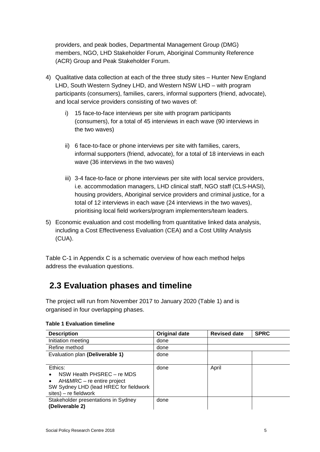providers, and peak bodies, Departmental Management Group (DMG) members, NGO, LHD Stakeholder Forum, Aboriginal Community Reference (ACR) Group and Peak Stakeholder Forum.

- 4) Qualitative data collection at each of the three study sites Hunter New England LHD, South Western Sydney LHD, and Western NSW LHD – with program participants (consumers), families, carers, informal supporters (friend, advocate), and local service providers consisting of two waves of:
	- i) 15 face-to-face interviews per site with program participants (consumers), for a total of 45 interviews in each wave (90 interviews in the two waves)
	- ii) 6 face-to-face or phone interviews per site with families, carers, informal supporters (friend, advocate), for a total of 18 interviews in each wave (36 interviews in the two waves)
	- iii) 3-4 face-to-face or phone interviews per site with local service providers, i.e. accommodation managers, LHD clinical staff, NGO staff (CLS-HASI), housing providers, Aboriginal service providers and criminal justice, for a total of 12 interviews in each wave (24 interviews in the two waves), prioritising local field workers/program implementers/team leaders.
- 5) Economic evaluation and cost modelling from quantitative linked data analysis, including a Cost Effectiveness Evaluation (CEA) and a Cost Utility Analysis (CUA).

[Table C-1](#page-42-1) in [Appendix C](#page-42-0) is a schematic overview of how each method helps address the evaluation questions.

### <span id="page-9-0"></span>**2.3 Evaluation phases and timeline**

The project will run from November 2017 to January 2020 [\(Table 1\)](#page-9-1) and is organised in four overlapping phases.

| <b>Description</b>                                                                                                                                   | <b>Original date</b> | <b>Revised date</b> | <b>SPRC</b> |
|------------------------------------------------------------------------------------------------------------------------------------------------------|----------------------|---------------------|-------------|
| Initiation meeting                                                                                                                                   | done                 |                     |             |
| Refine method                                                                                                                                        | done                 |                     |             |
| Evaluation plan (Deliverable 1)                                                                                                                      | done                 |                     |             |
| Ethics:<br>NSW Health PHSREC - re MDS<br>AH&MRC – re entire project<br>$\bullet$<br>SW Sydney LHD (lead HREC for fieldwork<br>$sites$ – re fieldwork | done                 | April               |             |
| Stakeholder presentations in Sydney<br>(Deliverable 2)                                                                                               | done                 |                     |             |

#### <span id="page-9-1"></span>**Table 1 Evaluation timeline**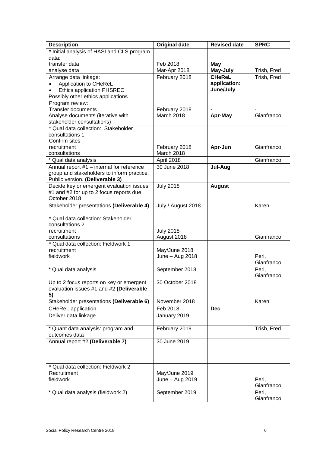| <b>Description</b>                                                            | <b>Original date</b>        | <b>Revised date</b> | <b>SPRC</b> |
|-------------------------------------------------------------------------------|-----------------------------|---------------------|-------------|
| * Initial analysis of HASI and CLS program                                    |                             |                     |             |
| data:                                                                         |                             |                     |             |
| transfer data                                                                 | Feb 2018                    | May                 |             |
| analyse data                                                                  | Mar-Apr 2018                | May-July            | Trish, Fred |
| Arrange data linkage:                                                         | February 2018               | <b>CHeReL</b>       | Trish, Fred |
| Application to CHeReL                                                         |                             | application:        |             |
| <b>Ethics application PHSREC</b>                                              |                             | June/July           |             |
| Possibly other ethics applications                                            |                             |                     |             |
| Program review:                                                               |                             |                     |             |
| <b>Transfer documents</b>                                                     | February 2018               |                     |             |
| Analyse documents (iterative with                                             | March 2018                  | Apr-May             | Gianfranco  |
| stakeholder consultations)                                                    |                             |                     |             |
| * Qual data collection: Stakeholder                                           |                             |                     |             |
| consultations 1                                                               |                             |                     |             |
| Confirm sites                                                                 |                             |                     |             |
| recruitment<br>consultations                                                  | February 2018<br>March 2018 | Apr-Jun             | Gianfranco  |
|                                                                               |                             |                     | Gianfranco  |
| * Qual data analysis                                                          | April 2018                  |                     |             |
| Annual report #1 - internal for reference                                     | 30 June 2018                | Jul-Aug             |             |
| group and stakeholders to inform practice.<br>Public version. (Deliverable 3) |                             |                     |             |
| Decide key or emergent evaluation issues                                      | <b>July 2018</b>            |                     |             |
| #1 and #2 for up to 2 focus reports due                                       |                             | <b>August</b>       |             |
| October 2018                                                                  |                             |                     |             |
| Stakeholder presentations (Deliverable 4)                                     | July / August 2018          |                     | Karen       |
|                                                                               |                             |                     |             |
| * Qual data collection: Stakeholder                                           |                             |                     |             |
| consultations 2                                                               |                             |                     |             |
| recruitment                                                                   | <b>July 2018</b>            |                     |             |
| consultations                                                                 | August 2018                 |                     | Gianfranco  |
| * Qual data collection: Fieldwork 1                                           |                             |                     |             |
| recruitment                                                                   | May/June 2018               |                     |             |
| fieldwork                                                                     | June - Aug 2018             |                     | Peri,       |
|                                                                               |                             |                     | Gianfranco  |
| * Qual data analysis                                                          | September 2018              |                     | Peri,       |
|                                                                               |                             |                     | Gianfranco  |
| Up to 2 focus reports on key or emergent                                      | 30 October 2018             |                     |             |
| evaluation issues #1 and #2 (Deliverable                                      |                             |                     |             |
| 5)                                                                            |                             |                     |             |
| Stakeholder presentations (Deliverable 6)                                     | November 2018               |                     | Karen       |
| <b>CHeReL</b> application                                                     | Feb 2018                    | <b>Dec</b>          |             |
| Deliver data linkage                                                          | January 2019                |                     |             |
|                                                                               |                             |                     |             |
| * Quant data analysis: program and                                            | February 2019               |                     | Trish, Fred |
| outcomes data                                                                 |                             |                     |             |
| Annual report #2 (Deliverable 7)                                              | 30 June 2019                |                     |             |
|                                                                               |                             |                     |             |
|                                                                               |                             |                     |             |
| * Qual data collection: Fieldwork 2                                           |                             |                     |             |
| Recruitment                                                                   | May/June 2019               |                     |             |
| fieldwork                                                                     | June - Aug 2019             |                     | Peri,       |
|                                                                               |                             |                     | Gianfranco  |
| * Qual data analysis (fieldwork 2)                                            | September 2019              |                     | Peri,       |
|                                                                               |                             |                     | Gianfranco  |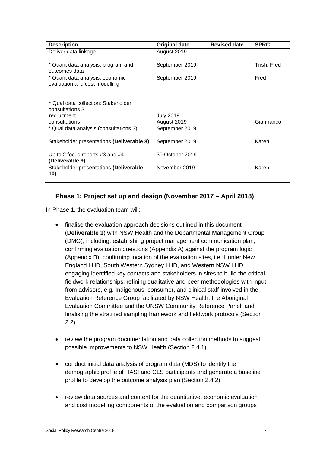| <b>Description</b>                                               | <b>Original date</b>            | <b>Revised date</b> | <b>SPRC</b> |
|------------------------------------------------------------------|---------------------------------|---------------------|-------------|
| Deliver data linkage                                             | August 2019                     |                     |             |
| * Quant data analysis: program and<br>outcomes data              | September 2019                  |                     | Trish, Fred |
| * Quant data analysis: economic<br>evaluation and cost modelling | September 2019                  |                     | Fred        |
| * Qual data collection: Stakeholder<br>consultations 3           |                                 |                     |             |
| recruitment<br>consultations                                     | <b>July 2019</b><br>August 2019 |                     | Gianfranco  |
| * Qual data analysis (consultations 3)                           | September 2019                  |                     |             |
| Stakeholder presentations (Deliverable 8)                        | September 2019                  |                     | Karen       |
| Up to 2 focus reports #3 and #4<br>(Deliverable 9)               | 30 October 2019                 |                     |             |
| Stakeholder presentations (Deliverable<br>10)                    | November 2019                   |                     | Karen       |

#### **Phase 1: Project set up and design (November 2017 – April 2018)**

In Phase 1, the evaluation team will:

- finalise the evaluation approach decisions outlined in this document (**Deliverable 1**) with NSW Health and the Departmental Management Group (DMG), including: establishing project management communication plan; confirming evaluation questions [\(Appendix A\)](#page-36-0) against the program logic [\(Appendix B\)](#page-39-0); confirming location of the evaluation sites, i.e. Hunter New England LHD, South Western Sydney LHD, and Western NSW LHD; engaging identified key contacts and stakeholders in sites to build the critical fieldwork relationships; refining qualitative and peer-methodologies with input from advisors, e.g. Indigenous, consumer, and clinical staff involved in the Evaluation Reference Group facilitated by NSW Health, the Aboriginal Evaluation Committee and the UNSW Community Reference Panel; and finalising the stratified sampling framework and fieldwork protocols (Section [2.2\)](#page-8-2)
- review the program documentation and data collection methods to suggest possible improvements to NSW Health (Section [2.4.1\)](#page-13-1)
- conduct initial data analysis of program data (MDS) to identify the demographic profile of HASI and CLS participants and generate a baseline profile to develop the outcome analysis plan (Section [2.4.2\)](#page-14-0)
- review data sources and content for the quantitative, economic evaluation and cost modelling components of the evaluation and comparison groups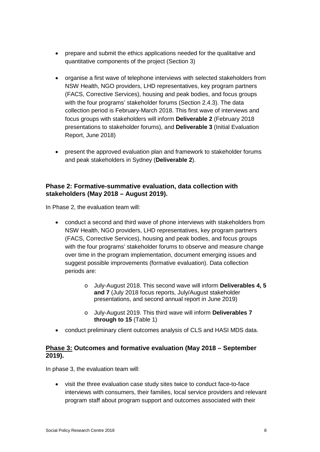- prepare and submit the ethics applications needed for the qualitative and quantitative components of the project (Section [3\)](#page-28-0)
- organise a first wave of telephone interviews with selected stakeholders from NSW Health, NGO providers, LHD representatives, key program partners (FACS, Corrective Services), housing and peak bodies, and focus groups with the four programs' stakeholder forums (Section [2.4.3\)](#page-20-0). The data collection period is February-March 2018. This first wave of interviews and focus groups with stakeholders will inform **Deliverable 2** (February 2018 presentations to stakeholder forums), and **Deliverable 3** (Initial Evaluation Report, June 2018)
- present the approved evaluation plan and framework to stakeholder forums and peak stakeholders in Sydney (**Deliverable 2**).

#### **Phase 2: Formative-summative evaluation, data collection with stakeholders (May 2018 – August 2019).**

In Phase 2, the evaluation team will:

- conduct a second and third wave of phone interviews with stakeholders from NSW Health, NGO providers, LHD representatives, key program partners (FACS, Corrective Services), housing and peak bodies, and focus groups with the four programs' stakeholder forums to observe and measure change over time in the program implementation, document emerging issues and suggest possible improvements (formative evaluation). Data collection periods are:
	- o July-August 2018. This second wave will inform **Deliverables 4, 5 and 7** (July 2018 focus reports, July/August stakeholder presentations, and second annual report in June 2019)
	- o July-August 2019. This third wave will inform **Deliverables 7 through to 15** [\(Table 1\)](#page-9-1)
- conduct preliminary client outcomes analysis of CLS and HASI MDS data.

#### **Phase 3: Outcomes and formative evaluation (May 2018 – September 2019).**

In phase 3, the evaluation team will:

• visit the three evaluation case study sites twice to conduct face-to-face interviews with consumers, their families, local service providers and relevant program staff about program support and outcomes associated with their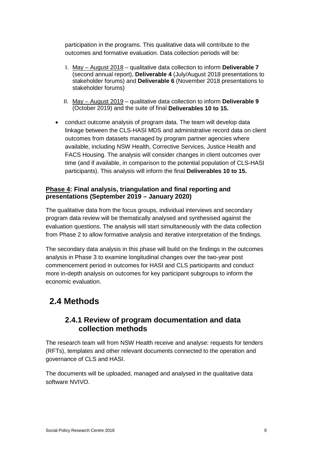participation in the programs. This qualitative data will contribute to the outcomes and formative evaluation. Data collection periods will be:

- I. May August 2018 qualitative data collection to inform **Deliverable 7** (second annual report), **Deliverable 4** (July/August 2018 presentations to stakeholder forums) and **Deliverable 6** (November 2018 presentations to stakeholder forums)
- II. May August 2019 qualitative data collection to inform **Deliverable 9**  (October 2019) and the suite of final **Deliverables 10 to 15.**
- conduct outcome analysis of program data. The team will develop data linkage between the CLS-HASI MDS and administrative record data on client outcomes from datasets managed by program partner agencies where available, including NSW Health, Corrective Services, Justice Health and FACS Housing. The analysis will consider changes in client outcomes over time (and if available, in comparison to the potential population of CLS-HASI participants). This analysis will inform the final **Deliverables 10 to 15.**

#### **Phase 4: Final analysis, triangulation and final reporting and presentations (September 2019 – January 2020)**

The qualitative data from the focus groups, individual interviews and secondary program data review will be thematically analysed and synthesised against the evaluation questions. The analysis will start simultaneously with the data collection from Phase 2 to allow formative analysis and iterative interpretation of the findings.

The secondary data analysis in this phase will build on the findings in the outcomes analysis in Phase 3 to examine longitudinal changes over the two-year post commencement period in outcomes for HASI and CLS participants and conduct more in-depth analysis on outcomes for key participant subgroups to inform the economic evaluation.

### <span id="page-13-1"></span><span id="page-13-0"></span>**2.4 Methods**

#### **2.4.1 Review of program documentation and data collection methods**

The research team will from NSW Health receive and analyse: requests for tenders (RFTs), templates and other relevant documents connected to the operation and governance of CLS and HASI.

The documents will be uploaded, managed and analysed in the qualitative data software NVIVO.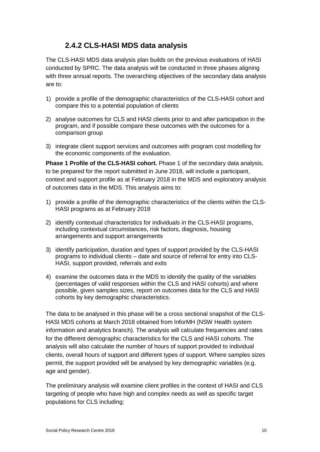#### **2.4.2 CLS-HASI MDS data analysis**

<span id="page-14-0"></span>The CLS-HASI MDS data analysis plan builds on the previous evaluations of HASI conducted by SPRC. The data analysis will be conducted in three phases aligning with three annual reports. The overarching objectives of the secondary data analysis are to:

- 1) provide a profile of the demographic characteristics of the CLS-HASI cohort and compare this to a potential population of clients
- 2) analyse outcomes for CLS and HASI clients prior to and after participation in the program, and if possible compare these outcomes with the outcomes for a comparison group
- 3) integrate client support services and outcomes with program cost modelling for the economic components of the evaluation.

**Phase 1 Profile of the CLS-HASI cohort.** Phase 1 of the secondary data analysis, to be prepared for the report submitted in June 2018, will include a participant, context and support profile as at February 2018 in the MDS and exploratory analysis of outcomes data in the MDS. This analysis aims to:

- 1) provide a profile of the demographic characteristics of the clients within the CLS-HASI programs as at February 2018
- 2) identify contextual characteristics for individuals in the CLS-HASI programs, including contextual circumstances, risk factors, diagnosis, housing arrangements and support arrangements
- 3) identify participation, duration and types of support provided by the CLS-HASI programs to individual clients – date and source of referral for entry into CLS-HASI, support provided, referrals and exits
- 4) examine the outcomes data in the MDS to identify the quality of the variables (percentages of valid responses within the CLS and HASI cohorts) and where possible, given samples sizes, report on outcomes data for the CLS and HASI cohorts by key demographic characteristics.

The data to be analysed in this phase will be a cross sectional snapshot of the CLS-HASI MDS cohorts at March 2018 obtained from InforMH (NSW Health system information and analytics branch). The analysis will calculate frequencies and rates for the different demographic characteristics for the CLS and HASI cohorts. The analysis will also calculate the number of hours of support provided to individual clients, overall hours of support and different types of support. Where samples sizes permit, the support provided will be analysed by key demographic variables (e.g. age and gender).

The preliminary analysis will examine client profiles in the context of HASI and CLS targeting of people who have high and complex needs as well as specific target populations for CLS including: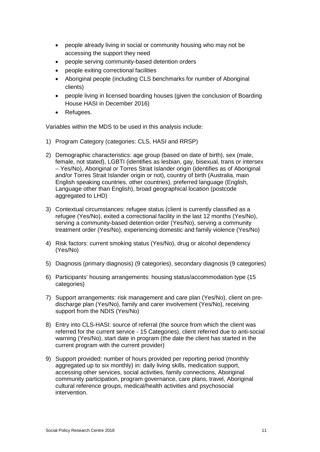- people already living in social or community housing who may not be accessing the support they need
- people serving community-based detention orders
- people exiting correctional facilities
- Aboriginal people (including CLS benchmarks for number of Aboriginal clients)
- people living in licensed boarding houses (given the conclusion of Boarding House HASI in December 2016)
- Refugees.

Variables within the MDS to be used in this analysis include:

- 1) Program Category (categories: CLS, HASI and RRSP)
- 2) Demographic characteristics: age group (based on date of birth), sex (male, female, not stated), LGBTI (identifies as lesbian, gay, bisexual, trans or intersex – Yes/No), Aboriginal or Torres Strait Islander origin (identifies as of Aboriginal and/or Torres Strait Islander origin or not), country of birth (Australia, main English speaking countries, other countries), preferred language (English, Language other than English), broad geographical location (postcode aggregated to LHD)
- 3) Contextual circumstances: refugee status (client is currently classified as a refugee (Yes/No), exited a correctional facility in the last 12 months (Yes/No), serving a community-based detention order (Yes/No), serving a community treatment order (Yes/No), experiencing domestic and family violence (Yes/No)
- 4) Risk factors: current smoking status (Yes/No), drug or alcohol dependency (Yes/No)
- 5) Diagnosis (primary diagnosis) (9 categories), secondary diagnosis (9 categories)
- 6) Participants' housing arrangements: housing status/accommodation type (15 categories)
- 7) Support arrangements: risk management and care plan (Yes/No), client on predischarge plan (Yes/No), family and carer involvement (Yes/No), receiving support from the NDIS (Yes/No)
- 8) Entry into CLS-HASI: source of referral (the source from which the client was referred for the current service - 15 Categories), client referred due to anti-social warning (Yes/No), start date in program (the date the client has started in the current program with the current provider)
- 9) Support provided: number of hours provided per reporting period (monthly aggregated up to six monthly) in: daily living skills, medication support, accessing other services, social activities, family connections, Aboriginal community participation, program governance, care plans, travel, Aboriginal cultural reference groups, medical/health activities and psychosocial intervention.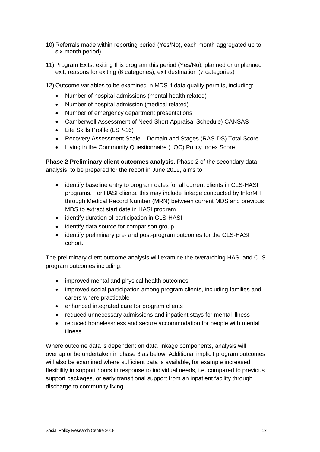- 10) Referrals made within reporting period (Yes/No), each month aggregated up to six-month period)
- 11) Program Exits: exiting this program this period (Yes/No), planned or unplanned exit, reasons for exiting (6 categories), exit destination (7 categories)
- 12) Outcome variables to be examined in MDS if data quality permits, including:
	- Number of hospital admissions (mental health related)
	- Number of hospital admission (medical related)
	- Number of emergency department presentations
	- Camberwell Assessment of Need Short Appraisal Schedule) CANSAS
	- Life Skills Profile (LSP-16)
	- Recovery Assessment Scale Domain and Stages (RAS-DS) Total Score
	- Living in the Community Questionnaire (LQC) Policy Index Score

**Phase 2 Preliminary client outcomes analysis.** Phase 2 of the secondary data analysis, to be prepared for the report in June 2019, aims to:

- identify baseline entry to program dates for all current clients in CLS-HASI programs. For HASI clients, this may include linkage conducted by InforMH through Medical Record Number (MRN) between current MDS and previous MDS to extract start date in HASI program
- identify duration of participation in CLS-HASI
- identify data source for comparison group
- identify preliminary pre- and post-program outcomes for the CLS-HASI cohort.

The preliminary client outcome analysis will examine the overarching HASI and CLS program outcomes including:

- improved mental and physical health outcomes
- improved social participation among program clients, including families and carers where practicable
- enhanced integrated care for program clients
- reduced unnecessary admissions and inpatient stays for mental illness
- reduced homelessness and secure accommodation for people with mental illness

Where outcome data is dependent on data linkage components, analysis will overlap or be undertaken in phase 3 as below. Additional implicit program outcomes will also be examined where sufficient data is available, for example increased flexibility in support hours in response to individual needs, i.e. compared to previous support packages, or early transitional support from an inpatient facility through discharge to community living.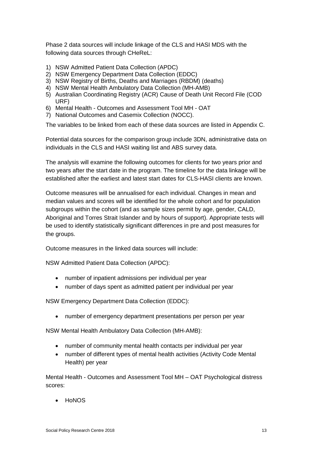Phase 2 data sources will include linkage of the CLS and HASI MDS with the following data sources through CHeReL:

- 1) NSW Admitted Patient Data Collection (APDC)
- 2) NSW Emergency Department Data Collection (EDDC)
- 3) NSW Registry of Births, Deaths and Marriages (RBDM) (deaths)
- 4) NSW Mental Health Ambulatory Data Collection (MH-AMB)
- 5) Australian Coordinating Registry (ACR) Cause of Death Unit Record File (COD URF)
- 6) Mental Health Outcomes and Assessment Tool MH OAT
- 7) National Outcomes and Casemix Collection (NOCC).

The variables to be linked from each of these data sources are listed in [Appendix C.](#page-45-0)

Potential data sources for the comparison group include 3DN, administrative data on individuals in the CLS and HASI waiting list and ABS survey data.

The analysis will examine the following outcomes for clients for two years prior and two years after the start date in the program. The timeline for the data linkage will be established after the earliest and latest start dates for CLS-HASI clients are known.

Outcome measures will be annualised for each individual. Changes in mean and median values and scores will be identified for the whole cohort and for population subgroups within the cohort (and as sample sizes permit by age, gender, CALD, Aboriginal and Torres Strait Islander and by hours of support). Appropriate tests will be used to identify statistically significant differences in pre and post measures for the groups.

Outcome measures in the linked data sources will include:

NSW Admitted Patient Data Collection (APDC):

- number of inpatient admissions per individual per year
- number of days spent as admitted patient per individual per year

NSW Emergency Department Data Collection (EDDC):

• number of emergency department presentations per person per year

NSW Mental Health Ambulatory Data Collection (MH-AMB):

- number of community mental health contacts per individual per year
- number of different types of mental health activities (Activity Code Mental Health) per year

Mental Health - Outcomes and Assessment Tool MH – OAT Psychological distress scores:

• HoNOS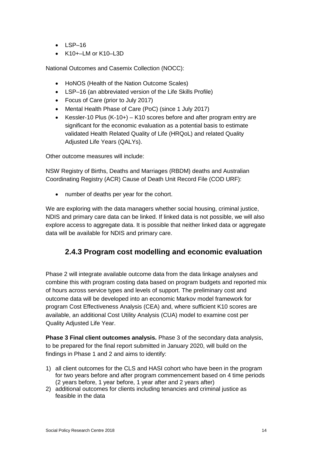- $-1$  SP–16
- K10+–LM or K10–L3D

National Outcomes and Casemix Collection (NOCC):

- HoNOS (Health of the Nation Outcome Scales)
- LSP–16 (an abbreviated version of the Life Skills Profile)
- Focus of Care (prior to July 2017)
- Mental Health Phase of Care (PoC) (since 1 July 2017)
- Kessler-10 Plus (K-10+) K10 scores before and after program entry are significant for the economic evaluation as a potential basis to estimate validated Health Related Quality of Life (HRQoL) and related Quality Adjusted Life Years (QALYs).

Other outcome measures will include:

NSW Registry of Births, Deaths and Marriages (RBDM) deaths and Australian Coordinating Registry (ACR) Cause of Death Unit Record File (COD URF):

• number of deaths per year for the cohort.

We are exploring with the data managers whether social housing, criminal justice, NDIS and primary care data can be linked. If linked data is not possible, we will also explore access to aggregate data. It is possible that neither linked data or aggregate data will be available for NDIS and primary care.

#### **2.4.3 Program cost modelling and economic evaluation**

Phase 2 will integrate available outcome data from the data linkage analyses and combine this with program costing data based on program budgets and reported mix of hours across service types and levels of support. The preliminary cost and outcome data will be developed into an economic Markov model framework for program Cost Effectiveness Analysis (CEA) and, where sufficient K10 scores are available, an additional Cost Utility Analysis (CUA) model to examine cost per Quality Adjusted Life Year.

**Phase 3 Final client outcomes analysis.** Phase 3 of the secondary data analysis, to be prepared for the final report submitted in January 2020, will build on the findings in Phase 1 and 2 and aims to identify:

- 1) all client outcomes for the CLS and HASI cohort who have been in the program for two years before and after program commencement based on 4 time periods (2 years before, 1 year before, 1 year after and 2 years after)
- 2) additional outcomes for clients including tenancies and criminal justice as feasible in the data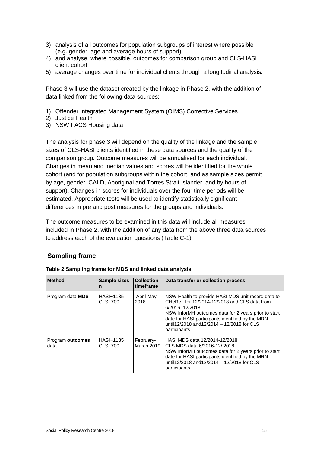- 3) analysis of all outcomes for population subgroups of interest where possible (e.g. gender, age and average hours of support)
- 4) and analyse, where possible, outcomes for comparison group and CLS-HASI client cohort
- 5) average changes over time for individual clients through a longitudinal analysis.

Phase 3 will use the dataset created by the linkage in Phase 2, with the addition of data linked from the following data sources:

- 1) Offender Integrated Management System (OIMS) Corrective Services
- 2) Justice Health
- 3) NSW FACS Housing data

The analysis for phase 3 will depend on the quality of the linkage and the sample sizes of CLS-HASI clients identified in these data sources and the quality of the comparison group. Outcome measures will be annualised for each individual. Changes in mean and median values and scores will be identified for the whole cohort (and for population subgroups within the cohort, and as sample sizes permit by age, gender, CALD, Aboriginal and Torres Strait Islander, and by hours of support). Changes in scores for individuals over the four time periods will be estimated. Appropriate tests will be used to identify statistically significant differences in pre and post measures for the groups and individuals.

The outcome measures to be examined in this data will include all measures included in Phase 2, with the addition of any data from the above three data sources to address each of the evaluation questions (Table C-1).

#### **Sampling frame**

| <b>Method</b>            | Sample sizes<br>n      | <b>Collection</b><br>timeframe | Data transfer or collection process                                                                                                                                                                                                                                                           |
|--------------------------|------------------------|--------------------------------|-----------------------------------------------------------------------------------------------------------------------------------------------------------------------------------------------------------------------------------------------------------------------------------------------|
| Program data <b>MDS</b>  | HASI~1135<br>CLS~700   | April-May<br>2018              | NSW Health to provide HASI MDS unit record data to<br>CHeReL for 12/2014-12/2018 and CLS data from<br>6/2016-12/2018<br>NSW InforMH outcomes data for 2 years prior to start<br>date for HASI participants identified by the MRN<br>until12/2018 and12/2014 - 12/2018 for CLS<br>participants |
| Program outcomes<br>data | HASI~1135<br>$CLS-700$ | February-<br>March 2019        | HASI MDS data 12/2014-12/2018<br>CLS MDS data 6/2016-12/2018<br>NSW InforMH outcomes data for 2 years prior to start<br>date for HASI participants identified by the MRN<br>until12/2018 and12/2014 - 12/2018 for CLS<br>participants                                                         |

<span id="page-19-0"></span>**Table 2 Sampling frame for MDS and linked data analysis**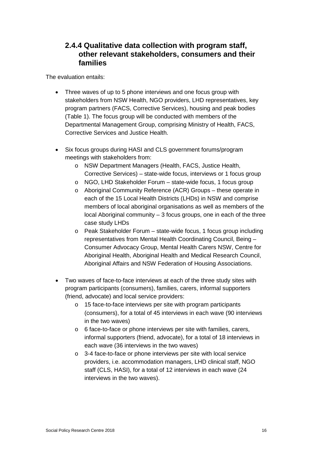#### <span id="page-20-0"></span>**2.4.4 Qualitative data collection with program staff, other relevant stakeholders, consumers and their families**

The evaluation entails:

- Three waves of up to 5 phone interviews and one focus group with stakeholders from NSW Health, NGO providers, LHD representatives, key program partners (FACS, Corrective Services), housing and peak bodies [\(Table 1\)](#page-9-1). The focus group will be conducted with members of the Departmental Management Group, comprising Ministry of Health, FACS, Corrective Services and Justice Health.
- Six focus groups during HASI and CLS government forums/program meetings with stakeholders from:
	- o NSW Department Managers (Health, FACS, Justice Health, Corrective Services) – state-wide focus, interviews or 1 focus group
	- o NGO, LHD Stakeholder Forum state-wide focus, 1 focus group
	- o Aboriginal Community Reference (ACR) Groups these operate in each of the 15 Local Health Districts (LHDs) in NSW and comprise members of local aboriginal organisations as well as members of the  $local$  Aboriginal community  $-3$  focus groups, one in each of the three case study LHDs
	- o Peak Stakeholder Forum state-wide focus, 1 focus group including representatives from Mental Health Coordinating Council, Being – Consumer Advocacy Group, Mental Health Carers NSW, Centre for Aboriginal Health, Aboriginal Health and Medical Research Council, Aboriginal Affairs and NSW Federation of Housing Associations.
- Two waves of face-to-face interviews at each of the three study sites with program participants (consumers), families, carers, informal supporters (friend, advocate) and local service providers:
	- o 15 face-to-face interviews per site with program participants (consumers), for a total of 45 interviews in each wave (90 interviews in the two waves)
	- o 6 face-to-face or phone interviews per site with families, carers, informal supporters (friend, advocate), for a total of 18 interviews in each wave (36 interviews in the two waves)
	- o 3-4 face-to-face or phone interviews per site with local service providers, i.e. accommodation managers, LHD clinical staff, NGO staff (CLS, HASI), for a total of 12 interviews in each wave (24 interviews in the two waves).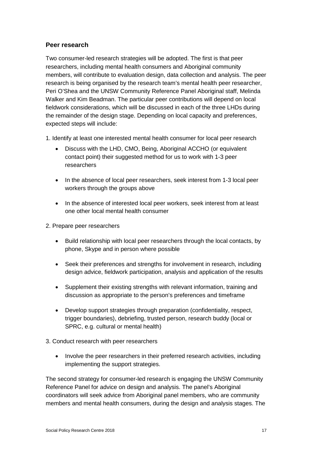#### **Peer research**

Two consumer-led research strategies will be adopted. The first is that peer researchers, including mental health consumers and Aboriginal community members, will contribute to evaluation design, data collection and analysis. The peer research is being organised by the research team's mental health peer researcher, Peri O'Shea and the UNSW Community Reference Panel Aboriginal staff, Melinda Walker and Kim Beadman. The particular peer contributions will depend on local fieldwork considerations, which will be discussed in each of the three LHDs during the remainder of the design stage. Depending on local capacity and preferences, expected steps will include:

- 1. Identify at least one interested mental health consumer for local peer research
	- Discuss with the LHD, CMO, Being, Aboriginal ACCHO (or equivalent contact point) their suggested method for us to work with 1-3 peer researchers
	- In the absence of local peer researchers, seek interest from 1-3 local peer workers through the groups above
	- In the absence of interested local peer workers, seek interest from at least one other local mental health consumer
- 2. Prepare peer researchers
	- Build relationship with local peer researchers through the local contacts, by phone, Skype and in person where possible
	- Seek their preferences and strengths for involvement in research, including design advice, fieldwork participation, analysis and application of the results
	- Supplement their existing strengths with relevant information, training and discussion as appropriate to the person's preferences and timeframe
	- Develop support strategies through preparation (confidentiality, respect, trigger boundaries), debriefing, trusted person, research buddy (local or SPRC, e.g. cultural or mental health)
- 3. Conduct research with peer researchers
	- Involve the peer researchers in their preferred research activities, including implementing the support strategies.

The second strategy for consumer-led research is engaging the UNSW Community Reference Panel for advice on design and analysis. The panel's Aboriginal coordinators will seek advice from Aboriginal panel members, who are community members and mental health consumers, during the design and analysis stages. The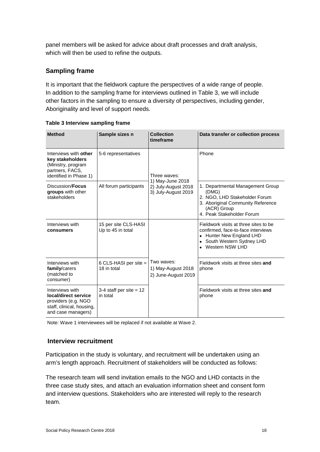panel members will be asked for advice about draft processes and draft analysis, which will then be used to refine the outputs.

#### **Sampling frame**

It is important that the fieldwork capture the perspectives of a wide range of people. In addition to the sampling frame for interviews outlined in [Table 3,](#page-22-0) we will include other factors in the sampling to ensure a diversity of perspectives, including gender, Aboriginality and level of support needs.

| <b>Method</b>                                                                                                     | Sample sizes n                            | <b>Collection</b><br>timeframe                          | Data transfer or collection process                                                                                                                               |
|-------------------------------------------------------------------------------------------------------------------|-------------------------------------------|---------------------------------------------------------|-------------------------------------------------------------------------------------------------------------------------------------------------------------------|
| Interviews with other<br>key stakeholders<br>(Ministry, program<br>partners, FACS,<br>identified in Phase 1)      | 5-6 representatives                       | Three waves:<br>1) May-June 2018                        | Phone                                                                                                                                                             |
| Discussion/ <b>Focus</b><br>groups with other<br>stakeholders                                                     | All forum participants                    | 2) July-August 2018<br>3) July-August 2019              | 1. Departmental Management Group<br>(DMG)<br>2. NGO, LHD Stakeholder Forum<br>3. Aboriginal Community Reference<br>(ACR) Group<br>4. Peak Stakeholder Forum       |
| Interviews with<br>consumers                                                                                      | 15 per site CLS-HASI<br>Up to 45 in total |                                                         | Fieldwork visits at three sites to be<br>confirmed, face-to-face interviews<br>Hunter New England LHD<br>South Western Sydney LHD<br>Western NSW LHD<br>$\bullet$ |
| Interviews with<br>family/carers<br>(matched to<br>consumer)                                                      | 6 CLS-HASI per site $=$<br>18 in total    | Two waves:<br>1) May-August 2018<br>2) June-August 2019 | Fieldwork visits at three sites and<br>phone                                                                                                                      |
| Interviews with<br>local/direct service<br>providers (e.g. NGO<br>staff, clinical, housing,<br>and case managers) | 3-4 staff per site $= 12$<br>in total     |                                                         | Fieldwork visits at three sites and<br>phone                                                                                                                      |

<span id="page-22-0"></span>

| Table 3 Interview sampling frame |  |  |
|----------------------------------|--|--|
|----------------------------------|--|--|

Note: Wave 1 interviewees will be replaced if not available at Wave 2.

#### **Interview recruitment**

Participation in the study is voluntary, and recruitment will be undertaken using an arm's length approach. Recruitment of stakeholders will be conducted as follows:

The research team will send invitation emails to the NGO and LHD contacts in the three case study sites, and attach an evaluation information sheet and consent form and interview questions. Stakeholders who are interested will reply to the research team.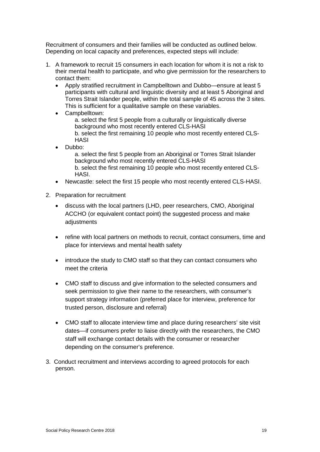Recruitment of consumers and their families will be conducted as outlined below. Depending on local capacity and preferences, expected steps will include:

- 1. A framework to recruit 15 consumers in each location for whom it is not a risk to their mental health to participate, and who give permission for the researchers to contact them:
	- Apply stratified recruitment in Campbelltown and Dubbo—ensure at least 5 participants with cultural and linguistic diversity and at least 5 Aboriginal and Torres Strait Islander people, within the total sample of 45 across the 3 sites. This is sufficient for a qualitative sample on these variables.
	- Campbelltown:

a. select the first 5 people from a culturally or linguistically diverse background who most recently entered CLS-HASI b. select the first remaining 10 people who most recently entered CLS-**HASI** 

• Dubbo:

a. select the first 5 people from an Aboriginal or Torres Strait Islander background who most recently entered CLS-HASI

b. select the first remaining 10 people who most recently entered CLS-HASI.

- Newcastle: select the first 15 people who most recently entered CLS-HASI.
- 2. Preparation for recruitment
	- discuss with the local partners (LHD, peer researchers, CMO, Aboriginal ACCHO (or equivalent contact point) the suggested process and make adjustments
	- refine with local partners on methods to recruit, contact consumers, time and place for interviews and mental health safety
	- introduce the study to CMO staff so that they can contact consumers who meet the criteria
	- CMO staff to discuss and give information to the selected consumers and seek permission to give their name to the researchers, with consumer's support strategy information (preferred place for interview, preference for trusted person, disclosure and referral)
	- CMO staff to allocate interview time and place during researchers' site visit dates—if consumers prefer to liaise directly with the researchers, the CMO staff will exchange contact details with the consumer or researcher depending on the consumer's preference.
- 3. Conduct recruitment and interviews according to agreed protocols for each person.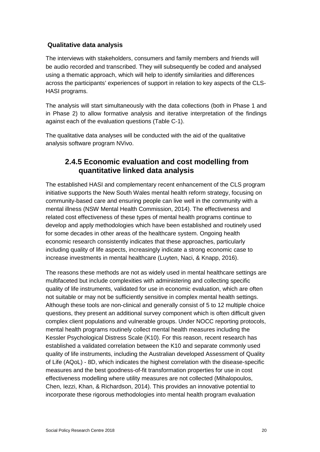#### **Qualitative data analysis**

The interviews with stakeholders, consumers and family members and friends will be audio recorded and transcribed. They will subsequently be coded and analysed using a thematic approach, which will help to identify similarities and differences across the participants' experiences of support in relation to key aspects of the CLS-HASI programs.

The analysis will start simultaneously with the data collections (both in Phase 1 and in Phase 2) to allow formative analysis and iterative interpretation of the findings against each of the evaluation questions (Table C-1).

The qualitative data analyses will be conducted with the aid of the qualitative analysis software program NVivo.

#### **2.4.5 Economic evaluation and cost modelling from quantitative linked data analysis**

The established HASI and complementary recent enhancement of the CLS program initiative supports the New South Wales mental health reform strategy, focusing on community-based care and ensuring people can live well in the community with a mental illness [\(NSW Mental Health Commission, 2014\)](#page-34-0). The effectiveness and related cost effectiveness of these types of mental health programs continue to develop and apply methodologies which have been established and routinely used for some decades in other areas of the healthcare system. Ongoing health economic research consistently indicates that these approaches, particularly including quality of life aspects, increasingly indicate a strong economic case to increase investments in mental healthcare [\(Luyten, Naci, & Knapp, 2016\)](#page-34-1).

The reasons these methods are not as widely used in mental healthcare settings are multifaceted but include complexities with administering and collecting specific quality of life instruments, validated for use in economic evaluation, which are often not suitable or may not be sufficiently sensitive in complex mental health settings. Although these tools are non-clinical and generally consist of 5 to 12 multiple choice questions, they present an additional survey component which is often difficult given complex client populations and vulnerable groups. Under NOCC reporting protocols, mental health programs routinely collect mental health measures including the Kessler Psychological Distress Scale (K10). For this reason, recent research has established a validated correlation between the K10 and separate commonly used quality of life instruments, including the Australian developed Assessment of Quality of Life (AQoL) - 8D, which indicates the highest correlation with the disease-specific measures and the best goodness-of-fit transformation properties for use in cost effectiveness modelling where utility measures are not collected [\(Mihalopoulos,](#page-34-2)  [Chen, Iezzi, Khan, & Richardson, 2014\)](#page-34-2). This provides an innovative potential to incorporate these rigorous methodologies into mental health program evaluation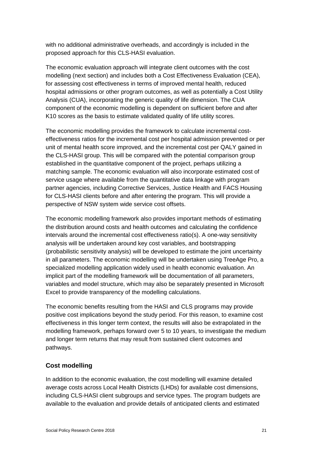with no additional administrative overheads, and accordingly is included in the proposed approach for this CLS-HASI evaluation.

The economic evaluation approach will integrate client outcomes with the cost modelling (next section) and includes both a Cost Effectiveness Evaluation (CEA), for assessing cost effectiveness in terms of improved mental health, reduced hospital admissions or other program outcomes, as well as potentially a Cost Utility Analysis (CUA), incorporating the generic quality of life dimension. The CUA component of the economic modelling is dependent on sufficient before and after K10 scores as the basis to estimate validated quality of life utility scores.

The economic modelling provides the framework to calculate incremental costeffectiveness ratios for the incremental cost per hospital admission prevented or per unit of mental health score improved, and the incremental cost per QALY gained in the CLS-HASI group. This will be compared with the potential comparison group established in the quantitative component of the project, perhaps utilizing a matching sample. The economic evaluation will also incorporate estimated cost of service usage where available from the quantitative data linkage with program partner agencies, including Corrective Services, Justice Health and FACS Housing for CLS-HASI clients before and after entering the program. This will provide a perspective of NSW system wide service cost offsets.

The economic modelling framework also provides important methods of estimating the distribution around costs and health outcomes and calculating the confidence intervals around the incremental cost effectiveness ratio(s). A one-way sensitivity analysis will be undertaken around key cost variables, and bootstrapping (probabilistic sensitivity analysis) will be developed to estimate the joint uncertainty in all parameters. The economic modelling will be undertaken using TreeAge Pro, a specialized modelling application widely used in health economic evaluation. An implicit part of the modelling framework will be documentation of all parameters, variables and model structure, which may also be separately presented in Microsoft Excel to provide transparency of the modelling calculations.

The economic benefits resulting from the HASI and CLS programs may provide positive cost implications beyond the study period. For this reason, to examine cost effectiveness in this longer term context, the results will also be extrapolated in the modelling framework, perhaps forward over 5 to 10 years, to investigate the medium and longer term returns that may result from sustained client outcomes and pathways.

#### **Cost modelling**

In addition to the economic evaluation, the cost modelling will examine detailed average costs across Local Health Districts (LHDs) for available cost dimensions, including CLS-HASI client subgroups and service types. The program budgets are available to the evaluation and provide details of anticipated clients and estimated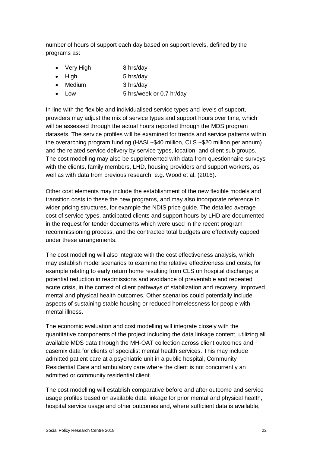number of hours of support each day based on support levels, defined by the programs as:

- Very High 8 hrs/day
- High 5 hrs/day
- Medium 3 hrs/day
- Low 5 hrs/week or 0.7 hr/day

In line with the flexible and individualised service types and levels of support, providers may adjust the mix of service types and support hours over time, which will be assessed through the actual hours reported through the MDS program datasets. The service profiles will be examined for trends and service patterns within the overarching program funding (HASI ~\$40 million, CLS ~\$20 million per annum) and the related service delivery by service types, location, and client sub groups. The cost modelling may also be supplemented with data from questionnaire surveys with the clients, family members, LHD, housing providers and support workers, as well as with data from previous research, e.g. Wood et al. (2016).

Other cost elements may include the establishment of the new flexible models and transition costs to these the new programs, and may also incorporate reference to wider pricing structures, for example the NDIS price guide. The detailed average cost of service types, anticipated clients and support hours by LHD are documented in the request for tender documents which were used in the recent program recommissioning process, and the contracted total budgets are effectively capped under these arrangements.

The cost modelling will also integrate with the cost effectiveness analysis, which may establish model scenarios to examine the relative effectiveness and costs, for example relating to early return home resulting from CLS on hospital discharge; a potential reduction in readmissions and avoidance of preventable and repeated acute crisis, in the context of client pathways of stabilization and recovery, improved mental and physical health outcomes. Other scenarios could potentially include aspects of sustaining stable housing or reduced homelessness for people with mental illness.

The economic evaluation and cost modelling will integrate closely with the quantitative components of the project including the data linkage content, utilizing all available MDS data through the MH-OAT collection across client outcomes and casemix data for clients of specialist mental health services. This may include admitted patient care at a psychiatric unit in a public hospital, Community Residential Care and ambulatory care where the client is not concurrently an admitted or community residential client.

The cost modelling will establish comparative before and after outcome and service usage profiles based on available data linkage for prior mental and physical health, hospital service usage and other outcomes and, where sufficient data is available,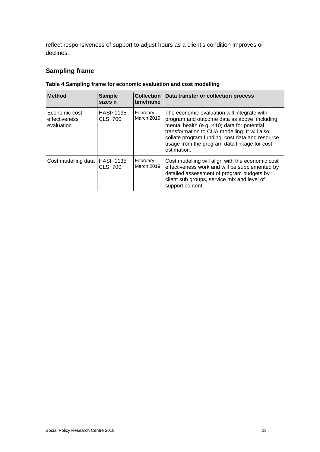reflect responsiveness of support to adjust hours as a client's condition improves or declines.

#### **Sampling frame**

| <b>Method</b>                                | <b>Sample</b><br>sizes n | <b>Collection</b><br>timeframe | Data transfer or collection process                                                                                                                                                                                                                                                                           |
|----------------------------------------------|--------------------------|--------------------------------|---------------------------------------------------------------------------------------------------------------------------------------------------------------------------------------------------------------------------------------------------------------------------------------------------------------|
| Economic cost<br>effectiveness<br>evaluation | HASI~1135<br>CLS~700     | February-<br>March 2019        | The economic evaluation will integrate with<br>program and outcome data as above, including<br>mental health (e.g. K10) data for potential<br>transformation to CUA modelling. It will also<br>collate program funding, cost data and resource<br>usage from the program data linkage for cost<br>estimation. |
| Cost modelling data                          | HASI~1135<br>CLS~700     | February-<br><b>March 2019</b> | Cost modelling will align with the economic cost<br>effectiveness work and will be supplemented by<br>detailed assessment of program budgets by<br>client sub groups, service mix and level of<br>support content.                                                                                            |

#### <span id="page-27-0"></span>**Table 4 Sampling frame for economic evaluation and cost modelling**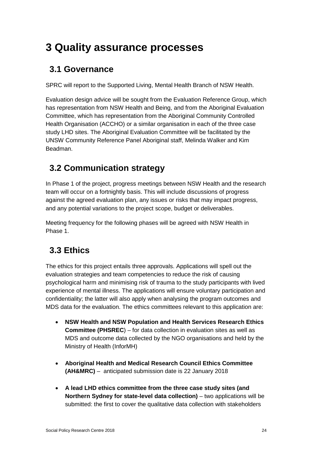## <span id="page-28-0"></span>**3 Quality assurance processes**

### <span id="page-28-1"></span>**3.1 Governance**

SPRC will report to the Supported Living, Mental Health Branch of NSW Health.

Evaluation design advice will be sought from the Evaluation Reference Group, which has representation from NSW Health and Being, and from the Aboriginal Evaluation Committee, which has representation from the Aboriginal Community Controlled Health Organisation (ACCHO) or a similar organisation in each of the three case study LHD sites. The Aboriginal Evaluation Committee will be facilitated by the UNSW Community Reference Panel Aboriginal staff, Melinda Walker and Kim Beadman.

### <span id="page-28-2"></span>**3.2 Communication strategy**

In Phase 1 of the project, progress meetings between NSW Health and the research team will occur on a fortnightly basis. This will include discussions of progress against the agreed evaluation plan, any issues or risks that may impact progress, and any potential variations to the project scope, budget or deliverables.

Meeting frequency for the following phases will be agreed with NSW Health in Phase 1.

### <span id="page-28-3"></span>**3.3 Ethics**

The ethics for this project entails three approvals. Applications will spell out the evaluation strategies and team competencies to reduce the risk of causing psychological harm and minimising risk of trauma to the study participants with lived experience of mental illness. The applications will ensure voluntary participation and confidentiality; the latter will also apply when analysing the program outcomes and MDS data for the evaluation. The ethics committees relevant to this application are:

- **NSW Health and NSW Population and Health Services Research Ethics Committee (PHSREC**) – for data collection in evaluation sites as well as MDS and outcome data collected by the NGO organisations and held by the Ministry of Health (InforMH)
- **Aboriginal Health and Medical Research Council Ethics Committee (AH&MRC)** – anticipated submission date is 22 January 2018
- **A lead LHD ethics committee from the three case study sites (and Northern Sydney for state-level data collection)** – two applications will be submitted: the first to cover the qualitative data collection with stakeholders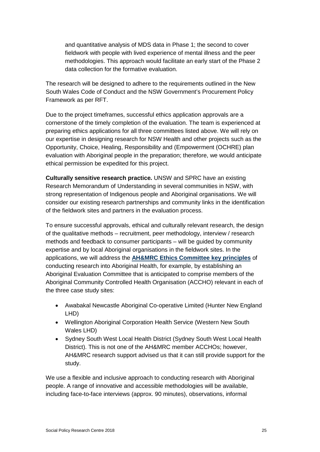and quantitative analysis of MDS data in Phase 1; the second to cover fieldwork with people with lived experience of mental illness and the peer methodologies. This approach would facilitate an early start of the Phase 2 data collection for the formative evaluation.

The research will be designed to adhere to the requirements outlined in the New South Wales Code of Conduct and the NSW Government's Procurement Policy Framework as per RFT.

Due to the project timeframes, successful ethics application approvals are a cornerstone of the timely completion of the evaluation. The team is experienced at preparing ethics applications for all three committees listed above. We will rely on our expertise in designing research for NSW Health and other projects such as the Opportunity, Choice, Healing, Responsibility and (Empowerment (OCHRE) plan evaluation with Aboriginal people in the preparation; therefore, we would anticipate ethical permission be expedited for this project.

**Culturally sensitive research practice.** UNSW and SPRC have an existing Research Memorandum of Understanding in several communities in NSW, with strong representation of Indigenous people and Aboriginal organisations. We will consider our existing research partnerships and community links in the identification of the fieldwork sites and partners in the evaluation process.

To ensure successful approvals, ethical and culturally relevant research, the design of the qualitative methods – recruitment, peer methodology, interview / research methods and feedback to consumer participants – will be guided by community expertise and by local Aboriginal organisations in the fieldwork sites. In the applications, we will address the **[AH&MRC Ethics Committee key](http://www.ahmrc.org.au/media/resources/ethics/ethics-application-resources/271-ah-mrc-guidelines-for-research-into-aboriginal-health-key-principles-1/file.html) principles** of conducting research into Aboriginal Health, for example, by establishing an Aboriginal Evaluation Committee that is anticipated to comprise members of the Aboriginal Community Controlled Health Organisation (ACCHO) relevant in each of the three case study sites:

- Awabakal Newcastle Aboriginal Co-operative Limited (Hunter New England LHD)
- Wellington Aboriginal Corporation Health Service (Western New South Wales LHD)
- Sydney South West Local Health District (Sydney South West Local Health District). This is not one of the AH&MRC member ACCHOs; however, AH&MRC research support advised us that it can still provide support for the study.

We use a flexible and inclusive approach to conducting research with Aboriginal people. A range of innovative and accessible methodologies will be available, including face-to-face interviews (approx. 90 minutes), observations, informal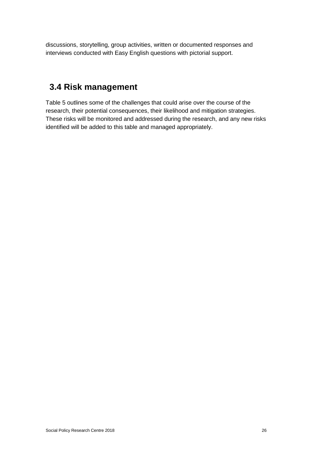discussions, storytelling, group activities, written or documented responses and interviews conducted with Easy English questions with pictorial support.

### <span id="page-30-0"></span>**3.4 Risk management**

[Table 5](#page-31-0) outlines some of the challenges that could arise over the course of the research, their potential consequences, their likelihood and mitigation strategies. These risks will be monitored and addressed during the research, and any new risks identified will be added to this table and managed appropriately.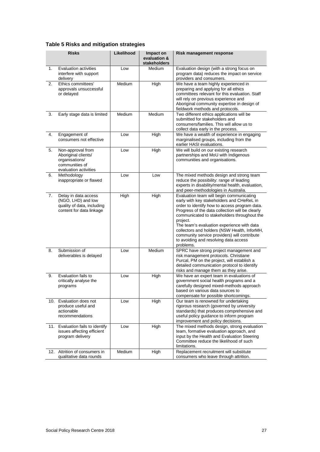<span id="page-31-0"></span>

|  |  |  |  |  | Table 5 Risks and mitigation strategies |
|--|--|--|--|--|-----------------------------------------|
|--|--|--|--|--|-----------------------------------------|

|     | <b>Risks</b>                                                                                          | Likelihood | Impact on<br>evaluation &<br>stakeholders | <b>Risk management response</b>                                                                                                                                                                                                                                                                                                                                                                                                                          |
|-----|-------------------------------------------------------------------------------------------------------|------------|-------------------------------------------|----------------------------------------------------------------------------------------------------------------------------------------------------------------------------------------------------------------------------------------------------------------------------------------------------------------------------------------------------------------------------------------------------------------------------------------------------------|
| 1.  | Evaluation activities<br>interfere with support<br>delivery                                           | Low        | <b>Medium</b>                             | Evaluation design (with a strong focus on<br>program data) reduces the impact on service<br>providers and consumers.                                                                                                                                                                                                                                                                                                                                     |
| 2.  | Ethics committees'<br>approvals unsuccessful<br>or delayed                                            | Medium     | High                                      | We have a team highly experienced in<br>preparing and applying for all ethics<br>committees relevant for this evaluation. Staff<br>will rely on previous experience and<br>Aboriginal community expertise in design of<br>fieldwork methods and protocols.                                                                                                                                                                                               |
| 3.  | Early stage data is limited                                                                           | Medium     | Medium                                    | Two different ethics applications will be<br>submitted for stakeholders and<br>consumers/families. This will allow us to<br>collect data early in the process.                                                                                                                                                                                                                                                                                           |
| 4.  | Engagement of<br>consumers not effective                                                              | Low        | High                                      | We have a wealth of experience in engaging<br>marginalised groups, including from the<br>earlier HASI evaluations.                                                                                                                                                                                                                                                                                                                                       |
| 5.  | Non-approval from<br>Aboriginal clients/<br>organisations/<br>communities of<br>evaluation activities | Low        | High                                      | We will build on our existing research<br>partnerships and MoU with Indigenous<br>communities and organisations.                                                                                                                                                                                                                                                                                                                                         |
| 6.  | Methodology<br>inappropriate or flawed                                                                | Low        | Low                                       | The mixed methods design and strong team<br>reduce the possibility: range of leading<br>experts in disability/mental health, evaluation,<br>and peer-methodologies in Australia.                                                                                                                                                                                                                                                                         |
| 7.  | Delay in data access<br>(NGO, LHD) and low<br>quality of data, including<br>content for data linkage  | High       | High                                      | Evaluation team will begin communicating<br>early with key stakeholders and CHeReL in<br>order to identify how to access program data.<br>Progress of the data collection will be clearly<br>communicated to stakeholders throughout the<br>project.<br>The team's evaluation experience with data<br>collectors and holders (NSW Health, InforMH,<br>community service providers) will contribute<br>to avoiding and resolving data access<br>problems. |
| 8.  | Submission of<br>deliverables is delayed                                                              | Low        | Medium                                    | SPRC have strong project management and<br>risk management protocols. Christiane<br>Purcal, PM on the project, will establish a<br>detailed communication protocol to identify<br>risks and manage them as they arise.                                                                                                                                                                                                                                   |
| 9.  | Evaluation fails to<br>critically analyse the<br>programs                                             | Low        | High                                      | We have an expert team in evaluations of<br>government social health programs and a<br>carefully designed mixed-methods approach<br>based on various data sources to<br>compensate for possible shortcomings.                                                                                                                                                                                                                                            |
| 10. | Evaluation does not<br>produce useful and<br>actionable<br>recommendations                            | Low        | High                                      | Our team is renowned for undertaking<br>rigorous research (governed by university<br>standards) that produces comprehensive and<br>useful policy quidance to inform program<br>improvement and policy decisions.                                                                                                                                                                                                                                         |
| 11. | Evaluation fails to identify<br>issues affecting efficient<br>program delivery                        | Low        | High                                      | The mixed methods design, strong evaluation<br>team, formative evaluation approach, and<br>input by the Health and Evaluation Steering<br>Committee reduce the likelihood of such<br>limitations.                                                                                                                                                                                                                                                        |
|     | 12. Attrition of consumers in<br>qualitative data rounds                                              | Medium     | High                                      | Replacement recruitment will substitute<br>consumers who leave through attrition.                                                                                                                                                                                                                                                                                                                                                                        |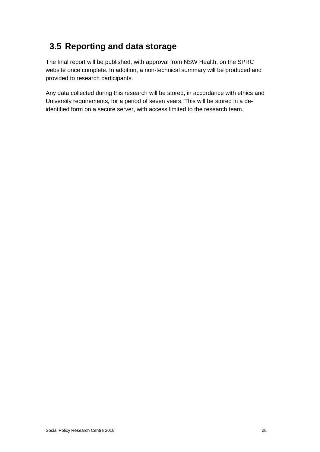### <span id="page-32-0"></span>**3.5 Reporting and data storage**

The final report will be published, with approval from NSW Health, on the SPRC website once complete. In addition, a non-technical summary will be produced and provided to research participants.

Any data collected during this research will be stored, in accordance with ethics and University requirements, for a period of seven years. This will be stored in a deidentified form on a secure server, with access limited to the research team.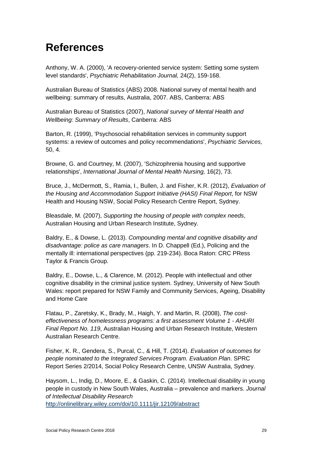## <span id="page-33-0"></span>**References**

Anthony, W. A. (2000), 'A recovery-oriented service system: Setting some system level standards', *Psychiatric Rehabilitation Journal,* 24(2), 159-168.

Australian Bureau of Statistics (ABS) 2008. National survey of mental health and wellbeing: summary of results, Australia, 2007. ABS, Canberra: ABS

Australian Bureau of Statistics (2007), *National survey of Mental Health and Wellbeing: Summary of Results*, Canberra: ABS

Barton, R. (1999), 'Psychosocial rehabilitation services in community support systems: a review of outcomes and policy recommendations', *Psychiatric Services,*  50, 4.

Browne, G. and Courtney, M. (2007), 'Schizophrenia housing and supportive relationships', *International Journal of Mental Health Nursing,* 16(2), 73.

Bruce, J., McDermott, S., Ramia, I., Bullen, J. and Fisher, K.R. (2012), *Evaluation of the Housing and Accommodation Support Initiative (HASI) Final Report*, for NSW Health and Housing NSW, Social Policy Research Centre Report, Sydney.

Bleasdale, M. (2007), *Supporting the housing of people with complex needs*, Australian Housing and Urban Research Institute, Sydney.

Baldry, E., & Dowse, L. (2013). *Compounding mental and cognitive disability and disadvantage: police as care managers*. In D. Chappell (Ed.), Policing and the mentally ill: international perspectives (pp. 219-234). Boca Raton: CRC PRess Taylor & Francis Group.

Baldry, E., Dowse, L., & Clarence, M. (2012). People with intellectual and other cognitive disability in the criminal justice system. Sydney, University of New South Wales: report prepared for NSW Family and Community Services, Ageing, Disability and Home Care

Flatau, P., Zaretsky, K., Brady, M., Haigh, Y. and Martin, R. (2008), *The costeffectiveness of homelessness programs: a first assessment Volume 1 - AHURI Final Report No. 119*, Australian Housing and Urban Research Institute, Western Australian Research Centre.

Fisher, K. R., Gendera, S., Purcal, C., & Hill, T. (2014). *Evaluation of outcomes for people nominated to the Integrated Services Program. Evaluation Plan*. SPRC Report Series 2/2014, Social Policy Research Centre, UNSW Australia, Sydney.

Haysom, L., Indig, D., Moore, E., & Gaskin, C. (2014). Intellectual disability in young people in custody in New South Wales, Australia – prevalence and markers. *Journal of Intellectual Disability Research* <http://onlinelibrary.wiley.com/doi/10.1111/jir.12109/abstract>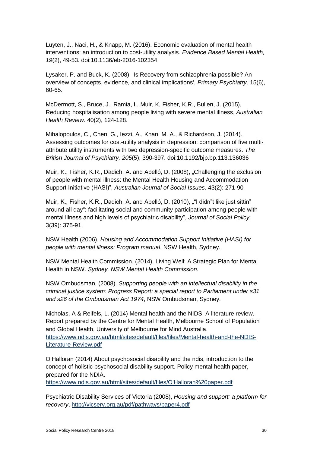<span id="page-34-1"></span>Luyten, J., Naci, H., & Knapp, M. (2016). Economic evaluation of mental health interventions: an introduction to cost-utility analysis. *Evidence Based Mental Health, 19*(2), 49-53. doi:10.1136/eb-2016-102354

Lysaker, P. and Buck, K. (2008), 'Is Recovery from schizophrenia possible? An overview of concepts, evidence, and clinical implications', *Primary Psychiatry,* 15(6), 60-65.

McDermott, S., Bruce, J., Ramia, I., Muir, K, Fisher, K.R., Bullen, J. (2015), Reducing hospitalisation among people living with severe mental illness, *Australian Health Review*. 40(2), 124-128.

<span id="page-34-2"></span>Mihalopoulos, C., Chen, G., Iezzi, A., Khan, M. A., & Richardson, J. (2014). Assessing outcomes for cost-utility analysis in depression: comparison of five multiattribute utility instruments with two depression-specific outcome measures. *The British Journal of Psychiatry, 205*(5), 390-397. doi:10.1192/bjp.bp.113.136036

Muir, K., Fisher, K.R., Dadich, A. and Abelló, D. (2008), "Challenging the exclusion of people with mental illness: the Mental Health Housing and Accommodation Support Initiative (HASI)", *Australian Journal of Social Issues,* 43(2): 271-90*.* 

Muir, K., Fisher, K.R., Dadich, A. and Abelló, D. (2010), ""I didn"t like just sittin" around all day": facilitating social and community participation among people with mental illness and high levels of psychiatric disability", *Journal of Social Policy,*  3(39): 375-91.

NSW Health (2006), *Housing and Accommodation Support Initiative (HASI) for people with mental illness: Program manual*, NSW Health, Sydney.

<span id="page-34-0"></span>NSW Mental Health Commission. (2014). Living Well: A Strategic Plan for Mental Health in NSW. *Sydney, NSW Mental Health Commission.*

NSW Ombudsman. (2008). *Supporting people with an intellectual disability in the criminal justice system: Progress Report: a special report to Parliament under s31 and s26 of the Ombudsman Act 1974*, NSW Ombudsman, Sydney.

Nicholas, A & Reifels, L. (2014) Mental health and the NIDS: A literature review. Report prepared by the Centre for Mental Health, Melbourne School of Population and Global Health, University of Melbourne for Mind Australia. [https://www.ndis.gov.au/html/sites/default/files/files/Mental-health-and-the-NDIS-](https://www.ndis.gov.au/html/sites/default/files/files/Mental-health-and-the-NDIS-Literature-Review.pdf)[Literature-Review.pdf](https://www.ndis.gov.au/html/sites/default/files/files/Mental-health-and-the-NDIS-Literature-Review.pdf)

O'Halloran (2014) About psychosocial disability and the ndis, introduction to the concept of holistic psychosocial disability support. Policy mental health paper, prepared for the NDIA.

[https://www.ndis.gov.au/html/sites/default/files/O'Halloran%20paper.pdf](https://www.ndis.gov.au/html/sites/default/files/O)

Psychiatric Disability Services of Victoria (2008), *Housing and support: a platform for recovery*,<http://vicserv.org.au/pdf/pathways/paper4.pdf>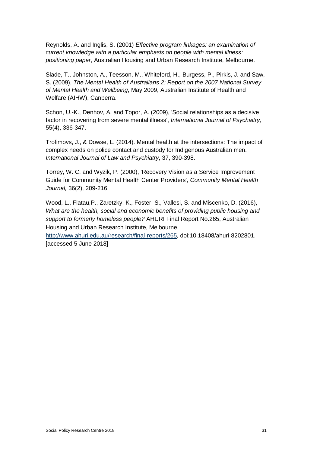Reynolds, A. and Inglis, S. (2001) *Effective program linkages: an examination of current knowledge with a particular emphasis on people with mental illness: positioning paper*, Australian Housing and Urban Research Institute, Melbourne.

Slade, T., Johnston, A., Teesson, M., Whiteford, H., Burgess, P., Pirkis, J. and Saw, S. (2009), *The Mental Health of Australians 2: Report on the 2007 National Survey of Mental Health and Wellbeing*, May 2009, Australian Institute of Health and Welfare (AIHW), Canberra.

Schon, U.-K., Denhov, A. and Topor, A. (2009), 'Social relationships as a decisive factor in recovering from severe mental illness', *International Journal of Psychaitry,*  55(4), 336-347.

Trofimovs, J., & Dowse, L. (2014). Mental health at the intersections: The impact of complex needs on police contact and custody for Indigenous Australian men. *International Journal of Law and Psychiatry*, 37, 390-398.

Torrey, W. C. and Wyzik, P. (2000), 'Recovery Vision as a Service Improvement Guide for Community Mental Health Center Providers', *Community Mental Health Journal,* 36(2), 209-216

Wood, L., Flatau,P., Zaretzky, K., Foster, S., Vallesi, S. and Miscenko, D. (2016), *What are the health, social and economic benefits of providing public housing and support to formerly homeless people?* AHURI Final Report No.265, Australian Housing and Urban Research Institute, Melbourne,

[http://www.ahuri.edu.au/research/final-reports/265,](http://www.ahuri.edu.au/research/final-reports/265) doi:10.18408/ahuri-8202801. [accessed 5 June 2018]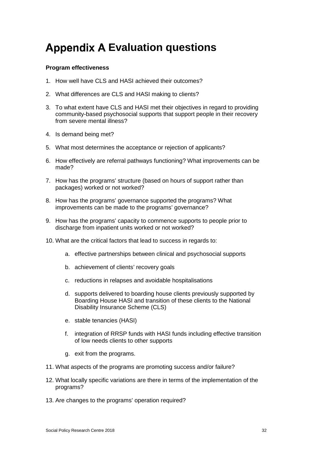## <span id="page-36-1"></span><span id="page-36-0"></span>**Appendix A Evaluation questions**

#### **Program effectiveness**

- 1. How well have CLS and HASI achieved their outcomes?
- 2. What differences are CLS and HASI making to clients?
- 3. To what extent have CLS and HASI met their objectives in regard to providing community-based psychosocial supports that support people in their recovery from severe mental illness?
- 4. Is demand being met?
- 5. What most determines the acceptance or rejection of applicants?
- 6. How effectively are referral pathways functioning? What improvements can be made?
- 7. How has the programs' structure (based on hours of support rather than packages) worked or not worked?
- 8. How has the programs' governance supported the programs? What improvements can be made to the programs' governance?
- 9. How has the programs' capacity to commence supports to people prior to discharge from inpatient units worked or not worked?
- 10. What are the critical factors that lead to success in regards to:
	- a. effective partnerships between clinical and psychosocial supports
	- b. achievement of clients' recovery goals
	- c. reductions in relapses and avoidable hospitalisations
	- d. supports delivered to boarding house clients previously supported by Boarding House HASI and transition of these clients to the National Disability Insurance Scheme (CLS)
	- e. stable tenancies (HASI)
	- f. integration of RRSP funds with HASI funds including effective transition of low needs clients to other supports
	- g. exit from the programs.
- 11. What aspects of the programs are promoting success and/or failure?
- 12. What locally specific variations are there in terms of the implementation of the programs?
- 13. Are changes to the programs' operation required?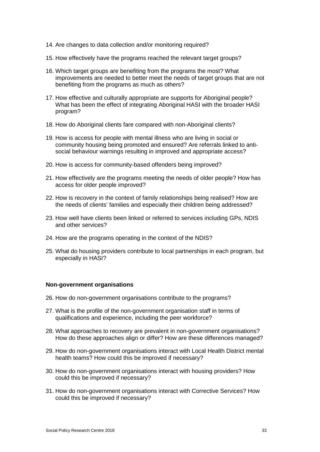- 14. Are changes to data collection and/or monitoring required?
- 15. How effectively have the programs reached the relevant target groups?
- 16. Which target groups are benefiting from the programs the most? What improvements are needed to better meet the needs of target groups that are not benefiting from the programs as much as others?
- 17. How effective and culturally appropriate are supports for Aboriginal people? What has been the effect of integrating Aboriginal HASI with the broader HASI program?
- 18. How do Aboriginal clients fare compared with non-Aboriginal clients?
- 19. How is access for people with mental illness who are living in social or community housing being promoted and ensured? Are referrals linked to antisocial behaviour warnings resulting in improved and appropriate access?
- 20. How is access for community-based offenders being improved?
- 21. How effectively are the programs meeting the needs of older people? How has access for older people improved?
- 22. How is recovery in the context of family relationships being realised? How are the needs of clients' families and especially their children being addressed?
- 23. How well have clients been linked or referred to services including GPs, NDIS and other services?
- 24. How are the programs operating in the context of the NDIS?
- 25. What do housing providers contribute to local partnerships in each program, but especially in HASI?

#### **Non-government organisations**

- 26. How do non-government organisations contribute to the programs?
- 27. What is the profile of the non-government organisation staff in terms of qualifications and experience, including the peer workforce?
- 28. What approaches to recovery are prevalent in non-government organisations? How do these approaches align or differ? How are these differences managed?
- 29. How do non-government organisations interact with Local Health District mental health teams? How could this be improved if necessary?
- 30. How do non-government organisations interact with housing providers? How could this be improved if necessary?
- 31. How do non-government organisations interact with Corrective Services? How could this be improved if necessary?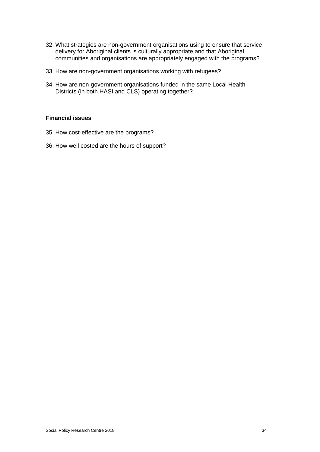- 32. What strategies are non-government organisations using to ensure that service delivery for Aboriginal clients is culturally appropriate and that Aboriginal communities and organisations are appropriately engaged with the programs?
- 33. How are non-government organisations working with refugees?
- 34. How are non-government organisations funded in the same Local Health Districts (in both HASI and CLS) operating together?

#### **Financial issues**

- 35. How cost-effective are the programs?
- 36. How well costed are the hours of support?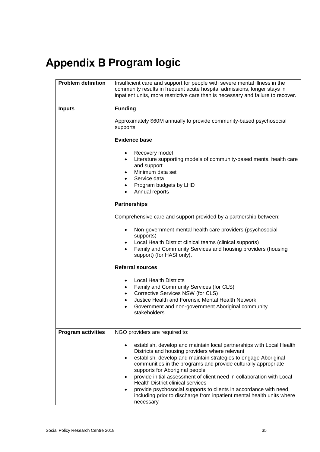# <span id="page-39-0"></span>**Appendix B Program logic**

| <b>Problem definition</b> | Insufficient care and support for people with severe mental illness in the<br>community results in frequent acute hospital admissions, longer stays in<br>inpatient units, more restrictive care than is necessary and failure to recover.                                                                                                                                                                                                                                                                                                                                                                                |  |  |  |  |  |  |  |  |
|---------------------------|---------------------------------------------------------------------------------------------------------------------------------------------------------------------------------------------------------------------------------------------------------------------------------------------------------------------------------------------------------------------------------------------------------------------------------------------------------------------------------------------------------------------------------------------------------------------------------------------------------------------------|--|--|--|--|--|--|--|--|
| <b>Inputs</b>             | <b>Funding</b><br>Approximately \$60M annually to provide community-based psychosocial                                                                                                                                                                                                                                                                                                                                                                                                                                                                                                                                    |  |  |  |  |  |  |  |  |
|                           | supports<br><b>Evidence base</b><br>Recovery model<br>Literature supporting models of community-based mental health care<br>and support<br>Minimum data set<br>٠<br>Service data<br>$\bullet$<br>Program budgets by LHD<br>$\bullet$<br>Annual reports                                                                                                                                                                                                                                                                                                                                                                    |  |  |  |  |  |  |  |  |
|                           |                                                                                                                                                                                                                                                                                                                                                                                                                                                                                                                                                                                                                           |  |  |  |  |  |  |  |  |
|                           | <b>Partnerships</b>                                                                                                                                                                                                                                                                                                                                                                                                                                                                                                                                                                                                       |  |  |  |  |  |  |  |  |
|                           | Comprehensive care and support provided by a partnership between:                                                                                                                                                                                                                                                                                                                                                                                                                                                                                                                                                         |  |  |  |  |  |  |  |  |
|                           | Non-government mental health care providers (psychosocial<br>supports)<br>Local Health District clinical teams (clinical supports)<br>Family and Community Services and housing providers (housing<br>support) (for HASI only).                                                                                                                                                                                                                                                                                                                                                                                           |  |  |  |  |  |  |  |  |
|                           | <b>Referral sources</b>                                                                                                                                                                                                                                                                                                                                                                                                                                                                                                                                                                                                   |  |  |  |  |  |  |  |  |
|                           | <b>Local Health Districts</b><br>$\bullet$<br>Family and Community Services (for CLS)<br>$\bullet$<br>Corrective Services NSW (for CLS)<br>$\bullet$<br>Justice Health and Forensic Mental Health Network<br>$\bullet$<br>Government and non-government Aboriginal community<br>$\bullet$<br>stakeholders                                                                                                                                                                                                                                                                                                                 |  |  |  |  |  |  |  |  |
| <b>Program activities</b> | NGO providers are required to:                                                                                                                                                                                                                                                                                                                                                                                                                                                                                                                                                                                            |  |  |  |  |  |  |  |  |
|                           | establish, develop and maintain local partnerships with Local Health<br>٠<br>Districts and housing providers where relevant<br>establish, develop and maintain strategies to engage Aboriginal<br>$\bullet$<br>communities in the programs and provide culturally appropriate<br>supports for Aboriginal people<br>provide initial assessment of client need in collaboration with Local<br>$\bullet$<br><b>Health District clinical services</b><br>provide psychosocial supports to clients in accordance with need,<br>$\bullet$<br>including prior to discharge from inpatient mental health units where<br>necessary |  |  |  |  |  |  |  |  |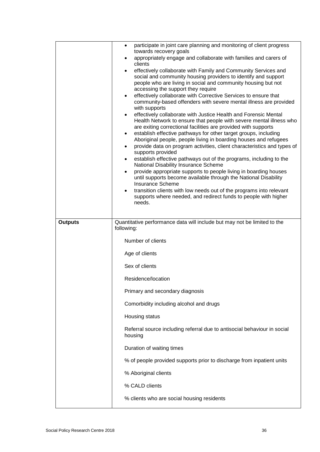|                | participate in joint care planning and monitoring of client progress<br>$\bullet$<br>towards recovery goals<br>appropriately engage and collaborate with families and carers of<br>$\bullet$<br>clients<br>effectively collaborate with Family and Community Services and<br>$\bullet$<br>social and community housing providers to identify and support<br>people who are living in social and community housing but not<br>accessing the support they require<br>effectively collaborate with Corrective Services to ensure that<br>$\bullet$<br>community-based offenders with severe mental illness are provided<br>with supports<br>effectively collaborate with Justice Health and Forensic Mental<br>$\bullet$<br>Health Network to ensure that people with severe mental illness who<br>are exiting correctional facilities are provided with supports<br>establish effective pathways for other target groups, including<br>٠<br>Aboriginal people, people living in boarding houses and refugees<br>provide data on program activities, client characteristics and types of<br>٠<br>supports provided<br>establish effective pathways out of the programs, including to the<br>٠<br>National Disability Insurance Scheme<br>provide appropriate supports to people living in boarding houses<br>$\bullet$<br>until supports become available through the National Disability<br><b>Insurance Scheme</b><br>transition clients with low needs out of the programs into relevant<br>$\bullet$<br>supports where needed, and redirect funds to people with higher<br>needs. |
|----------------|------------------------------------------------------------------------------------------------------------------------------------------------------------------------------------------------------------------------------------------------------------------------------------------------------------------------------------------------------------------------------------------------------------------------------------------------------------------------------------------------------------------------------------------------------------------------------------------------------------------------------------------------------------------------------------------------------------------------------------------------------------------------------------------------------------------------------------------------------------------------------------------------------------------------------------------------------------------------------------------------------------------------------------------------------------------------------------------------------------------------------------------------------------------------------------------------------------------------------------------------------------------------------------------------------------------------------------------------------------------------------------------------------------------------------------------------------------------------------------------------------------------------------------------------------------------------------------|
| <b>Outputs</b> | Quantitative performance data will include but may not be limited to the<br>following:                                                                                                                                                                                                                                                                                                                                                                                                                                                                                                                                                                                                                                                                                                                                                                                                                                                                                                                                                                                                                                                                                                                                                                                                                                                                                                                                                                                                                                                                                             |
|                | Number of clients                                                                                                                                                                                                                                                                                                                                                                                                                                                                                                                                                                                                                                                                                                                                                                                                                                                                                                                                                                                                                                                                                                                                                                                                                                                                                                                                                                                                                                                                                                                                                                  |
|                | Age of clients                                                                                                                                                                                                                                                                                                                                                                                                                                                                                                                                                                                                                                                                                                                                                                                                                                                                                                                                                                                                                                                                                                                                                                                                                                                                                                                                                                                                                                                                                                                                                                     |
|                | Sex of clients                                                                                                                                                                                                                                                                                                                                                                                                                                                                                                                                                                                                                                                                                                                                                                                                                                                                                                                                                                                                                                                                                                                                                                                                                                                                                                                                                                                                                                                                                                                                                                     |
|                | Residence/location                                                                                                                                                                                                                                                                                                                                                                                                                                                                                                                                                                                                                                                                                                                                                                                                                                                                                                                                                                                                                                                                                                                                                                                                                                                                                                                                                                                                                                                                                                                                                                 |
|                | Primary and secondary diagnosis                                                                                                                                                                                                                                                                                                                                                                                                                                                                                                                                                                                                                                                                                                                                                                                                                                                                                                                                                                                                                                                                                                                                                                                                                                                                                                                                                                                                                                                                                                                                                    |
|                | Comorbidity including alcohol and drugs                                                                                                                                                                                                                                                                                                                                                                                                                                                                                                                                                                                                                                                                                                                                                                                                                                                                                                                                                                                                                                                                                                                                                                                                                                                                                                                                                                                                                                                                                                                                            |
|                | Housing status                                                                                                                                                                                                                                                                                                                                                                                                                                                                                                                                                                                                                                                                                                                                                                                                                                                                                                                                                                                                                                                                                                                                                                                                                                                                                                                                                                                                                                                                                                                                                                     |
|                | Referral source including referral due to antisocial behaviour in social<br>housing                                                                                                                                                                                                                                                                                                                                                                                                                                                                                                                                                                                                                                                                                                                                                                                                                                                                                                                                                                                                                                                                                                                                                                                                                                                                                                                                                                                                                                                                                                |
|                | Duration of waiting times                                                                                                                                                                                                                                                                                                                                                                                                                                                                                                                                                                                                                                                                                                                                                                                                                                                                                                                                                                                                                                                                                                                                                                                                                                                                                                                                                                                                                                                                                                                                                          |
|                | % of people provided supports prior to discharge from inpatient units                                                                                                                                                                                                                                                                                                                                                                                                                                                                                                                                                                                                                                                                                                                                                                                                                                                                                                                                                                                                                                                                                                                                                                                                                                                                                                                                                                                                                                                                                                              |
|                | % Aboriginal clients                                                                                                                                                                                                                                                                                                                                                                                                                                                                                                                                                                                                                                                                                                                                                                                                                                                                                                                                                                                                                                                                                                                                                                                                                                                                                                                                                                                                                                                                                                                                                               |
|                | % CALD clients                                                                                                                                                                                                                                                                                                                                                                                                                                                                                                                                                                                                                                                                                                                                                                                                                                                                                                                                                                                                                                                                                                                                                                                                                                                                                                                                                                                                                                                                                                                                                                     |
|                | % clients who are social housing residents                                                                                                                                                                                                                                                                                                                                                                                                                                                                                                                                                                                                                                                                                                                                                                                                                                                                                                                                                                                                                                                                                                                                                                                                                                                                                                                                                                                                                                                                                                                                         |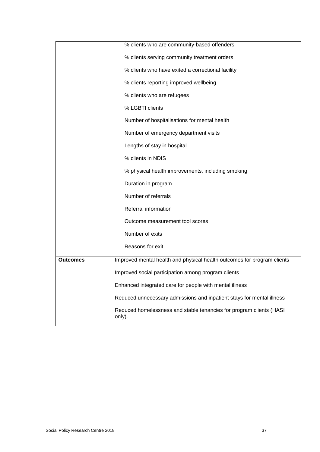|                 | % clients who are community-based offenders                                   |
|-----------------|-------------------------------------------------------------------------------|
|                 | % clients serving community treatment orders                                  |
|                 | % clients who have exited a correctional facility                             |
|                 | % clients reporting improved wellbeing                                        |
|                 | % clients who are refugees                                                    |
|                 | % LGBTI clients                                                               |
|                 | Number of hospitalisations for mental health                                  |
|                 | Number of emergency department visits                                         |
|                 | Lengths of stay in hospital                                                   |
|                 | % clients in NDIS                                                             |
|                 | % physical health improvements, including smoking                             |
|                 | Duration in program                                                           |
|                 | Number of referrals                                                           |
|                 | Referral information                                                          |
|                 | Outcome measurement tool scores                                               |
|                 | Number of exits                                                               |
|                 | Reasons for exit                                                              |
| <b>Outcomes</b> | Improved mental health and physical health outcomes for program clients       |
|                 | Improved social participation among program clients                           |
|                 | Enhanced integrated care for people with mental illness                       |
|                 | Reduced unnecessary admissions and inpatient stays for mental illness         |
|                 | Reduced homelessness and stable tenancies for program clients (HASI<br>only). |
|                 |                                                                               |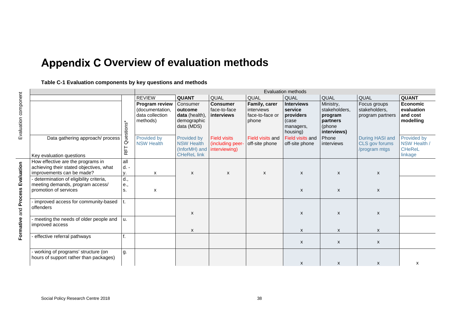## **Appendix C Overview of evaluation methods**

**Table C-1 Evaluation components by key questions and methods**

<span id="page-42-1"></span><span id="page-42-0"></span>

|                                                                                                           |                     |                                                                  |                                                                         |                                                          |                                                         | <b>Evaluation methods</b>                                                   |                                                                            |                                                    |                                                         |
|-----------------------------------------------------------------------------------------------------------|---------------------|------------------------------------------------------------------|-------------------------------------------------------------------------|----------------------------------------------------------|---------------------------------------------------------|-----------------------------------------------------------------------------|----------------------------------------------------------------------------|----------------------------------------------------|---------------------------------------------------------|
|                                                                                                           |                     | <b>REVIEW</b>                                                    | <b>QUANT</b>                                                            | QUAL                                                     | QUAL                                                    | QUAL                                                                        | QUAL                                                                       | QUAL                                               | <b>QUANT</b>                                            |
|                                                                                                           | Questions*          | Program review<br>(documentation,<br>data collection<br>methods) | Consumer<br>outcome<br>data (health),<br>demographic<br>data (MDS)      | <b>Consumer</b><br>face-to-face<br>interviews            | Family, carer<br>interviews<br>face-to-face or<br>phone | <b>Interviews</b><br>service<br>providers<br>(case<br>managers,<br>housing) | Ministry,<br>stakeholders,<br>program<br>partners<br>(phone<br>interviews) | Focus groups<br>stakeholders,<br>program partners  | <b>Economic</b><br>evaluation<br>and cost<br>modelling  |
| Data gathering approach/ process<br>Key evaluation questions                                              | RFT                 | Provided by<br><b>NSW Health</b>                                 | Provided by<br><b>NSW Health</b><br>(InforMH) and<br><b>CHeReL link</b> | <b>Field visits</b><br>(including peer-<br>interviewing) | Field visits and<br>off-site phone                      | Field visits and<br>off-site phone                                          | Phone<br>interviews                                                        | During HASI and<br>CLS gov forums<br>/program mtgs | Provided by<br>NSW Health /<br><b>CHeReL</b><br>linkage |
| How effective are the programs in<br>achieving their stated objectives, what<br>improvements can be made? | all<br>$d. -$<br>у. | x                                                                | X                                                                       | X                                                        | X                                                       | X                                                                           | X                                                                          | X                                                  |                                                         |
| - determination of eligibility criteria,<br>meeting demands, program access/<br>promotion of services     | d.,<br>e.,<br>s.    | X                                                                |                                                                         |                                                          |                                                         | X                                                                           | X                                                                          | X                                                  |                                                         |
| improved access for community-based<br>offenders                                                          | t.                  |                                                                  | X                                                                       |                                                          |                                                         | $\boldsymbol{\mathsf{x}}$                                                   | X                                                                          | X                                                  |                                                         |
| - meeting the needs of older people and<br>improved access                                                | u.                  |                                                                  | X                                                                       |                                                          |                                                         | X                                                                           | X                                                                          | X                                                  |                                                         |
| effective referral pathways                                                                               |                     |                                                                  |                                                                         |                                                          |                                                         | X                                                                           | X                                                                          | $\mathsf{x}$                                       |                                                         |
| - working of programs' structure (on<br>hours of support rather than packages)                            | g.                  |                                                                  |                                                                         |                                                          |                                                         | X                                                                           | X                                                                          | X                                                  | х                                                       |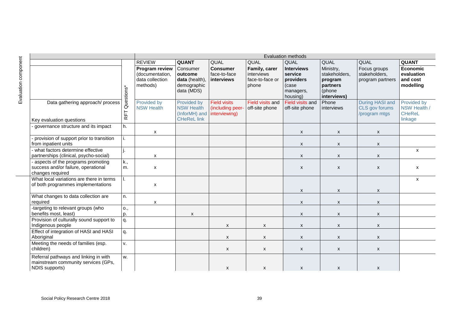|                                                                                                |            |                                                                  | <b>Evaluation methods</b>                                               |                                                         |                                                         |                                                                             |                                                                            |                                                    |                                                         |  |
|------------------------------------------------------------------------------------------------|------------|------------------------------------------------------------------|-------------------------------------------------------------------------|---------------------------------------------------------|---------------------------------------------------------|-----------------------------------------------------------------------------|----------------------------------------------------------------------------|----------------------------------------------------|---------------------------------------------------------|--|
|                                                                                                |            | <b>REVIEW</b>                                                    | <b>QUANT</b>                                                            | QUAL                                                    | QUAL                                                    | QUAL                                                                        | QUAL                                                                       | QUAL                                               | <b>QUANT</b>                                            |  |
|                                                                                                | Questions* | Program review<br>(documentation,<br>data collection<br>methods) | Consumer<br>outcome<br>data (health),<br>demographic<br>data (MDS)      | <b>Consumer</b><br>face-to-face<br>interviews           | Family, carer<br>interviews<br>face-to-face or<br>phone | <b>Interviews</b><br>service<br>providers<br>(case<br>managers,<br>housing) | Ministry,<br>stakeholders,<br>program<br>partners<br>(phone<br>interviews) | Focus groups<br>stakeholders,<br>program partners  | <b>Economic</b><br>evaluation<br>and cost<br>modelling  |  |
| Data gathering approach/ process<br>Key evaluation questions                                   | RFT        | Provided by<br><b>NSW Health</b>                                 | Provided by<br><b>NSW Health</b><br>(InforMH) and<br><b>CHeReL link</b> | <b>Field visits</b><br>(including peer<br>interviewing) | Field visits and<br>off-site phone                      | Field visits and<br>off-site phone                                          | Phone<br>interviews                                                        | During HASI and<br>CLS gov forums<br>/program mtgs | Provided by<br>NSW Health /<br><b>CHeReL</b><br>linkage |  |
| governance structure and its impact                                                            | h.         | X                                                                |                                                                         |                                                         |                                                         | x                                                                           | $\boldsymbol{\mathsf{x}}$                                                  | X                                                  |                                                         |  |
| provision of support prior to transition<br>from inpatient units                               | i.         |                                                                  |                                                                         |                                                         |                                                         | X                                                                           | $\boldsymbol{\mathsf{x}}$                                                  | X                                                  |                                                         |  |
| what factors determine effective<br>partnerships (clinical, psycho-social)                     | j.         | X                                                                |                                                                         |                                                         |                                                         | X                                                                           | X                                                                          | X                                                  | $\boldsymbol{\mathsf{x}}$                               |  |
| aspects of the programs promoting<br>success and/or failure, operational<br>changes required   | k.,<br>m.  | X                                                                |                                                                         |                                                         |                                                         | X                                                                           | X                                                                          | X                                                  | $\boldsymbol{\mathsf{x}}$                               |  |
| What local variations are there in terms<br>of both programmes implementations                 | Τ.         | $\pmb{\mathsf{X}}$                                               |                                                                         |                                                         |                                                         | $\boldsymbol{\mathsf{x}}$                                                   | $\boldsymbol{\mathsf{x}}$                                                  | X                                                  | $\boldsymbol{\mathsf{x}}$                               |  |
| What changes to data collection are<br>required                                                | n.         | X                                                                |                                                                         |                                                         |                                                         | X                                                                           | $\boldsymbol{\mathsf{x}}$                                                  | X                                                  |                                                         |  |
| -targeting to relevant groups (who<br>benefits most, least)                                    | o.,<br>p.  |                                                                  | X                                                                       |                                                         |                                                         | x                                                                           | $\mathsf{x}$                                                               | X                                                  |                                                         |  |
| Provision of culturally sound support to<br>Indigenous people                                  | q.         |                                                                  |                                                                         | X                                                       | $\boldsymbol{\mathsf{x}}$                               | X                                                                           | X                                                                          | X                                                  |                                                         |  |
| Effect of integration of HASI and HASI<br>Aboriginal                                           | q.         |                                                                  |                                                                         | X                                                       | X                                                       | X                                                                           | X                                                                          | X                                                  |                                                         |  |
| Meeting the needs of families (esp.<br>children)                                               | v.         |                                                                  |                                                                         | X                                                       | $\boldsymbol{\mathsf{x}}$                               | $\mathsf{x}$                                                                | X                                                                          | X                                                  |                                                         |  |
| Referral pathways and linking in with<br>mainstream community services (GPs,<br>NDIS supports) | w.         |                                                                  |                                                                         | X                                                       | X                                                       | X                                                                           | X                                                                          | x                                                  |                                                         |  |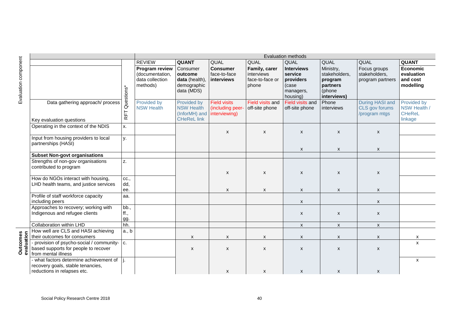|   |                                                                                                               |                          | <b>REVIEW</b>                                                    | <b>QUANT</b>                                                            | QUAL                                                     | QUAL                                                    | QUAL                                                                        | QUAL                                                                       | QUAL                                               | <b>QUANT</b>                                            |
|---|---------------------------------------------------------------------------------------------------------------|--------------------------|------------------------------------------------------------------|-------------------------------------------------------------------------|----------------------------------------------------------|---------------------------------------------------------|-----------------------------------------------------------------------------|----------------------------------------------------------------------------|----------------------------------------------------|---------------------------------------------------------|
|   |                                                                                                               | Questions*               | Program review<br>(documentation,<br>data collection<br>methods) | Consumer<br>outcome<br>data (health),<br>demographic<br>data (MDS)      | <b>Consumer</b><br>face-to-face<br>interviews            | Family, carer<br>interviews<br>face-to-face or<br>phone | <b>Interviews</b><br>service<br>providers<br>(case<br>managers,<br>housing) | Ministry,<br>stakeholders,<br>program<br>partners<br>(phone<br>interviews) | Focus groups<br>stakeholders,<br>program partners  | <b>Economic</b><br>evaluation<br>and cost<br>modelling  |
|   | Data gathering approach/ process<br>Key evaluation questions                                                  | 匸<br>$\overline{\alpha}$ | <b>Provided by</b><br><b>NSW Health</b>                          | Provided by<br><b>NSW Health</b><br>(InforMH) and<br><b>CHeReL link</b> | <b>Field visits</b><br>(including peer-<br>interviewing) | Field visits and<br>off-site phone                      | <b>Field visits and</b><br>off-site phone                                   | Phone<br>interviews                                                        | During HASI and<br>CLS gov forums<br>/program mtgs | Provided by<br>NSW Health /<br><b>CHeReL</b><br>linkage |
|   | Operating in the context of the NDIS                                                                          | Х.                       |                                                                  |                                                                         |                                                          |                                                         |                                                                             |                                                                            |                                                    |                                                         |
|   |                                                                                                               |                          |                                                                  |                                                                         | $\mathsf{x}$                                             | $\boldsymbol{\mathsf{x}}$                               | X                                                                           | $\boldsymbol{\mathsf{x}}$                                                  | X                                                  |                                                         |
|   | Input from housing providers to local<br>partnerships (HASI)                                                  | у.                       |                                                                  |                                                                         |                                                          |                                                         | $\pmb{\times}$                                                              | $\boldsymbol{\mathsf{x}}$                                                  | $\pmb{\times}$                                     |                                                         |
|   | <b>Subset Non-govt organisations</b>                                                                          |                          |                                                                  |                                                                         |                                                          |                                                         |                                                                             |                                                                            |                                                    |                                                         |
|   | Strengths of non-gov organisations<br>contributed to program                                                  | Z.                       |                                                                  |                                                                         | X                                                        | $\boldsymbol{\mathsf{x}}$                               | $\pmb{\times}$                                                              | $\boldsymbol{\mathsf{x}}$                                                  | $\pmb{\times}$                                     |                                                         |
|   | How do NGOs interact with housing,<br>LHD health teams, and justice services                                  | CC.,<br>dd,<br>ee.       |                                                                  |                                                                         | X                                                        | $\boldsymbol{\mathsf{x}}$                               | $\pmb{\times}$                                                              | $\pmb{\chi}$                                                               | $\pmb{\times}$                                     |                                                         |
|   | Profile of staff workforce capacity<br>including peers                                                        | aa.                      |                                                                  |                                                                         |                                                          |                                                         | $\pmb{\times}$                                                              |                                                                            | $\pmb{\times}$                                     |                                                         |
|   | Approaches to recovery; working with<br>Indigenous and refugee clients                                        | bb.,<br>ff.,<br>gg.      |                                                                  |                                                                         |                                                          |                                                         | $\pmb{\times}$                                                              | $\pmb{\mathsf{X}}$                                                         | X                                                  |                                                         |
|   | Collaboration within LHD                                                                                      | hh.                      |                                                                  |                                                                         |                                                          |                                                         | $\boldsymbol{\mathsf{x}}$                                                   | $\mathsf{x}$                                                               | $\pmb{\times}$                                     |                                                         |
|   | How well are CLS and HASI achieving<br>their outcomes for consumers                                           | a., b                    |                                                                  | X                                                                       | X                                                        | X                                                       | X                                                                           | $\boldsymbol{\mathsf{x}}$                                                  | X                                                  | х                                                       |
| Φ | - provision of psycho-social / community-   c.<br>based supports for people to recover<br>from mental illness |                          |                                                                  | $\pmb{\mathsf{X}}$                                                      | $\pmb{\chi}$                                             | $\boldsymbol{\mathsf{x}}$                               | $\pmb{\times}$                                                              | $\pmb{\times}$                                                             | X                                                  | $\mathsf{x}$                                            |
|   | - what factors determine achievement of<br>recovery goals, stable tenancies,<br>reductions in relapses etc.   | j.                       |                                                                  |                                                                         | X                                                        | $\boldsymbol{\mathsf{x}}$                               | X                                                                           | X                                                                          | X                                                  | $\mathsf{x}$                                            |

**Outcomes**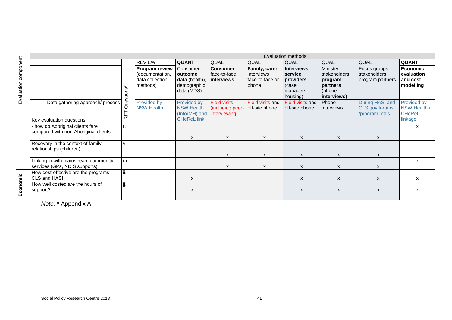|                   |                                                                          |            |                                                                  |                                                                                       |                                               |                                                         | Evaluation methods                                                          |                                                                            |                                                    |                                                         |
|-------------------|--------------------------------------------------------------------------|------------|------------------------------------------------------------------|---------------------------------------------------------------------------------------|-----------------------------------------------|---------------------------------------------------------|-----------------------------------------------------------------------------|----------------------------------------------------------------------------|----------------------------------------------------|---------------------------------------------------------|
| ponent            |                                                                          |            | <b>REVIEW</b>                                                    | <b>QUANT</b>                                                                          | QUAL                                          | QUAL                                                    | QUAL                                                                        | <b>QUAL</b>                                                                | QUAL                                               | <b>QUANT</b>                                            |
| com<br>Evaluation |                                                                          | Questions* | Program review<br>(documentation,<br>data collection<br>methods) | Consumer<br>outcome<br>data (health),<br>demographic<br>data (MDS)                    | <b>Consumer</b><br>face-to-face<br>interviews | Family, carer<br>interviews<br>face-to-face or<br>phone | <b>Interviews</b><br>service<br>providers<br>(case<br>managers,<br>housing) | Ministry,<br>stakeholders,<br>program<br>partners<br>(phone<br>interviews) | Focus groups<br>stakeholders,<br>program partners  | Economic<br>evaluation<br>and cost<br>modelling         |
|                   | Data gathering approach/ process<br>Key evaluation questions             | RFT        | Provided by<br><b>NSW Health</b>                                 | Provided by<br><b>NSW Health</b><br>(InforMH) and interviewing)<br><b>CHeReL link</b> | <b>Field visits</b><br>(including peer-       | Field visits and<br>off-site phone                      | Field visits and<br>off-site phone                                          | Phone<br>interviews                                                        | During HASI and<br>CLS gov forums<br>/program mtgs | Provided by<br>NSW Health /<br><b>CHeReL</b><br>linkage |
|                   | - how do Aboriginal clients fare<br>compared with non-Aboriginal clients | r.         |                                                                  | $\boldsymbol{\mathsf{x}}$                                                             | X                                             | X                                                       | X                                                                           | $\mathsf{x}$                                                               | $\boldsymbol{\mathsf{x}}$                          | X                                                       |
|                   | Recovery in the context of family<br>relationships (children)            | v.         |                                                                  |                                                                                       | X                                             | X                                                       | X                                                                           | X                                                                          | X                                                  |                                                         |
|                   | Linking in with mainstream community<br>services (GPs, NDIS supports)    | m.         |                                                                  |                                                                                       | X                                             | X                                                       | X                                                                           | X                                                                          | X                                                  | x                                                       |
|                   | How cost-effective are the programs:<br>CLS and HASI                     | ii.        |                                                                  | X                                                                                     |                                               |                                                         | X                                                                           | X                                                                          | X                                                  | X                                                       |
| conomic<br>шī     | How well costed are the hours of<br>support?                             | jj.        |                                                                  | X                                                                                     |                                               |                                                         | X                                                                           | X                                                                          | X                                                  | х                                                       |
|                   | Note * Annendix A                                                        |            |                                                                  |                                                                                       |                                               |                                                         |                                                                             |                                                                            |                                                    |                                                         |

<span id="page-45-0"></span>*Note.* \* [Appendix A.](#page-36-1)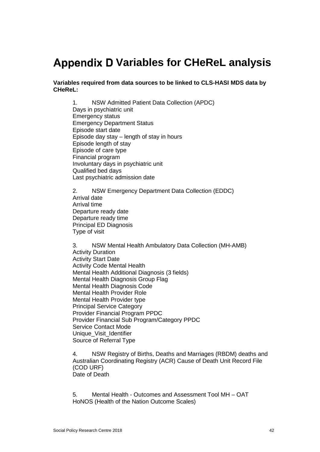## <span id="page-46-0"></span>**Appendix D Variables for CHeReL analysis**

**Variables required from data sources to be linked to CLS-HASI MDS data by CHeReL:**

1. NSW Admitted Patient Data Collection (APDC) Days in psychiatric unit Emergency status Emergency Department Status Episode start date Episode day stay – length of stay in hours Episode length of stay Episode of care type Financial program Involuntary days in psychiatric unit Qualified bed days Last psychiatric admission date

2. NSW Emergency Department Data Collection (EDDC) Arrival date Arrival time Departure ready date Departure ready time Principal ED Diagnosis Type of visit

3. NSW Mental Health Ambulatory Data Collection (MH-AMB) Activity Duration Activity Start Date Activity Code Mental Health Mental Health Additional Diagnosis (3 fields) Mental Health Diagnosis Group Flag Mental Health Diagnosis Code Mental Health Provider Role Mental Health Provider type Principal Service Category Provider Financial Program PPDC Provider Financial Sub Program/Category PPDC Service Contact Mode Unique Visit\_Identifier Source of Referral Type

4. NSW Registry of Births, Deaths and Marriages (RBDM) deaths and Australian Coordinating Registry (ACR) Cause of Death Unit Record File (COD URF) Date of Death

5. Mental Health - Outcomes and Assessment Tool MH – OAT HoNOS (Health of the Nation Outcome Scales)